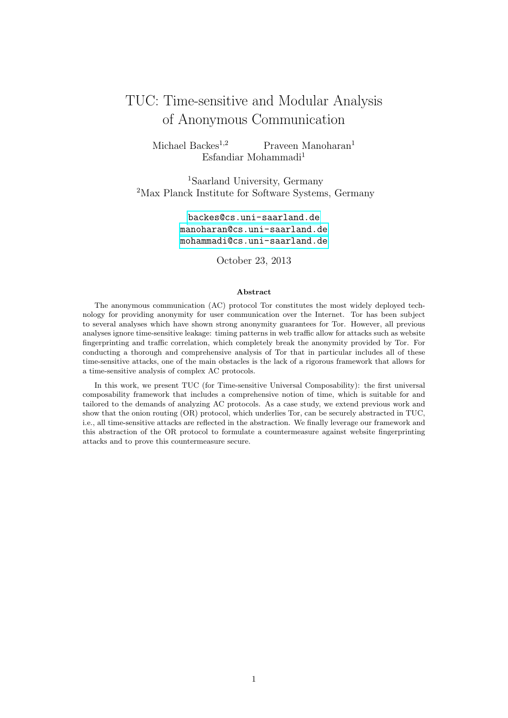# TUC: Time-sensitive and Modular Analysis of Anonymous Communication

Michael Backes<sup>1,2</sup> Praveen Manoharan<sup>1</sup> Esfandiar Mohammadi<sup>1</sup>

<sup>1</sup>Saarland University, Germany <sup>2</sup>Max Planck Institute for Software Systems, Germany

> <backes@cs.uni-saarland.de> <manoharan@cs.uni-saarland.de> <mohammadi@cs.uni-saarland.de>

> > October 23, 2013

### Abstract

The anonymous communication (AC) protocol Tor constitutes the most widely deployed technology for providing anonymity for user communication over the Internet. Tor has been subject to several analyses which have shown strong anonymity guarantees for Tor. However, all previous analyses ignore time-sensitive leakage: timing patterns in web traffic allow for attacks such as website fingerprinting and traffic correlation, which completely break the anonymity provided by Tor. For conducting a thorough and comprehensive analysis of Tor that in particular includes all of these time-sensitive attacks, one of the main obstacles is the lack of a rigorous framework that allows for a time-sensitive analysis of complex AC protocols.

In this work, we present TUC (for Time-sensitive Universal Composability): the first universal composability framework that includes a comprehensive notion of time, which is suitable for and tailored to the demands of analyzing AC protocols. As a case study, we extend previous work and show that the onion routing (OR) protocol, which underlies Tor, can be securely abstracted in TUC, i.e., all time-sensitive attacks are reflected in the abstraction. We finally leverage our framework and this abstraction of the OR protocol to formulate a countermeasure against website fingerprinting attacks and to prove this countermeasure secure.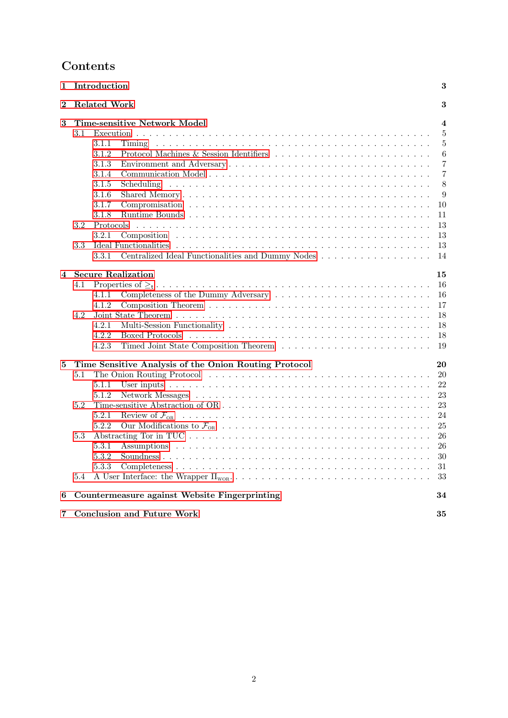# Contents

| 1        |         | Introduction                                                                                                                                                                                                                   | 3                       |
|----------|---------|--------------------------------------------------------------------------------------------------------------------------------------------------------------------------------------------------------------------------------|-------------------------|
| $\bf{2}$ |         | <b>Related Work</b>                                                                                                                                                                                                            | 3                       |
| 3        |         | <b>Time-sensitive Network Model</b>                                                                                                                                                                                            | $\overline{\mathbf{4}}$ |
|          | 3.1     |                                                                                                                                                                                                                                | 5                       |
|          |         | 3.1.1<br>Timing                                                                                                                                                                                                                | 5                       |
|          |         | Protocol Machines & Session Identifiers<br>3.1.2                                                                                                                                                                               | 6                       |
|          |         | 3.1.3                                                                                                                                                                                                                          | $\overline{7}$          |
|          |         | 3.1.4                                                                                                                                                                                                                          | $\overline{7}$          |
|          |         | 3.1.5                                                                                                                                                                                                                          | 8                       |
|          |         | 3.1.6                                                                                                                                                                                                                          | $\overline{9}$          |
|          |         | 3.1.7                                                                                                                                                                                                                          | 10                      |
|          |         | 3.1.8                                                                                                                                                                                                                          | 11                      |
|          | 3.2     | Protocols                                                                                                                                                                                                                      | 13                      |
|          |         | 3.2.1                                                                                                                                                                                                                          | 13                      |
|          | 3.3     | Ideal Functionalities                                                                                                                                                                                                          | 13                      |
|          |         | Centralized Ideal Functionalities and Dummy Nodes<br>3.3.1                                                                                                                                                                     | 14                      |
| 4        |         | <b>Secure Realization</b>                                                                                                                                                                                                      | 15                      |
|          | 4.1     |                                                                                                                                                                                                                                | 16                      |
|          |         | 4.1.1                                                                                                                                                                                                                          | 16                      |
|          |         | 4.1.2                                                                                                                                                                                                                          | 17                      |
|          | 4.2     |                                                                                                                                                                                                                                | 18                      |
|          |         | 4.2.1                                                                                                                                                                                                                          | 18                      |
|          |         | 4.2.2                                                                                                                                                                                                                          | 18                      |
|          |         | 4.2.3                                                                                                                                                                                                                          | 19                      |
| $\bf{5}$ |         | Time Sensitive Analysis of the Onion Routing Protocol                                                                                                                                                                          | 20                      |
|          | 5.1     | The Onion Routing Protocol (a) and a series and a series of the Context of The Onion Routing Protocol (a) and a series are series and a series of the Onion Routing Protocol (a) and a series of the Onion Routing Protocol (a | 20                      |
|          |         | 5.1.1                                                                                                                                                                                                                          | 22                      |
|          |         | 5.1.2                                                                                                                                                                                                                          | 23                      |
|          | 5.2     |                                                                                                                                                                                                                                | 23                      |
|          |         | 5.2.1                                                                                                                                                                                                                          | 24                      |
|          |         | 5.2.2                                                                                                                                                                                                                          | 25                      |
|          | 5.3     |                                                                                                                                                                                                                                | 26                      |
|          |         | 5.3.1                                                                                                                                                                                                                          | 26                      |
|          |         | 5.3.2                                                                                                                                                                                                                          | 30                      |
|          |         | 5.3.3                                                                                                                                                                                                                          | 31                      |
|          | $5.4\,$ |                                                                                                                                                                                                                                | 33                      |
|          |         |                                                                                                                                                                                                                                |                         |
| 6        |         | Countermeasure against Website Fingerprinting                                                                                                                                                                                  | 34                      |
| 7        |         | <b>Conclusion and Future Work</b>                                                                                                                                                                                              | 35                      |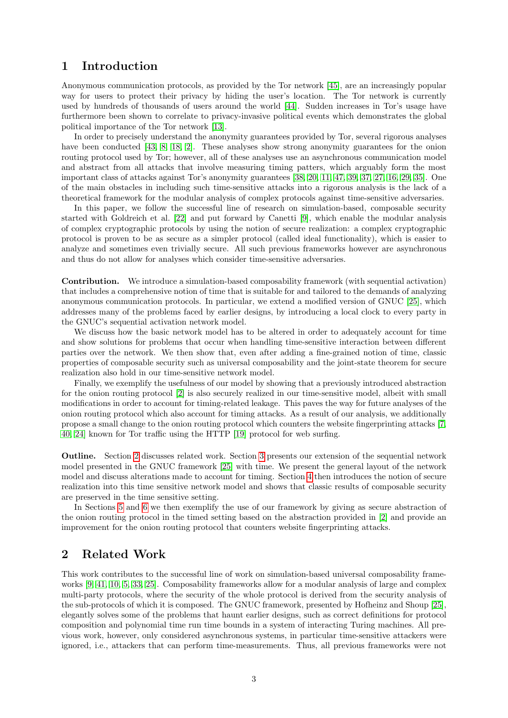# <span id="page-2-0"></span>1 Introduction

Anonymous communication protocols, as provided by the Tor network [\[45\]](#page-37-0), are an increasingly popular way for users to protect their privacy by hiding the user's location. The Tor network is currently used by hundreds of thousands of users around the world [\[44\]](#page-37-1). Sudden increases in Tor's usage have furthermore been shown to correlate to privacy-invasive political events which demonstrates the global political importance of the Tor network [\[13\]](#page-35-0).

In order to precisely understand the anonymity guarantees provided by Tor, several rigorous analyses have been conducted [\[43,](#page-37-2) [8,](#page-35-1) [18,](#page-35-2) [2\]](#page-35-3). These analyses show strong anonymity guarantees for the onion routing protocol used by Tor; however, all of these analyses use an asynchronous communication model and abstract from all attacks that involve measuring timing patters, which arguably form the most important class of attacks against Tor's anonymity guarantees [\[38,](#page-36-0) [20,](#page-36-1) [11,](#page-35-4) [47,](#page-37-3) [39,](#page-37-4) [37,](#page-36-2) [27,](#page-36-3) [16,](#page-35-5) [29,](#page-36-4) [35\]](#page-36-5). One of the main obstacles in including such time-sensitive attacks into a rigorous analysis is the lack of a theoretical framework for the modular analysis of complex protocols against time-sensitive adversaries.

In this paper, we follow the successful line of research on simulation-based, composable security started with Goldreich et al. [\[22\]](#page-36-6) and put forward by Canetti [\[9\]](#page-35-6), which enable the modular analysis of complex cryptographic protocols by using the notion of secure realization: a complex cryptographic protocol is proven to be as secure as a simpler protocol (called ideal functionality), which is easier to analyze and sometimes even trivially secure. All such previous frameworks however are asynchronous and thus do not allow for analyses which consider time-sensitive adversaries.

Contribution. We introduce a simulation-based composability framework (with sequential activation) that includes a comprehensive notion of time that is suitable for and tailored to the demands of analyzing anonymous communication protocols. In particular, we extend a modified version of GNUC [\[25\]](#page-36-7), which addresses many of the problems faced by earlier designs, by introducing a local clock to every party in the GNUC's sequential activation network model.

We discuss how the basic network model has to be altered in order to adequately account for time and show solutions for problems that occur when handling time-sensitive interaction between different parties over the network. We then show that, even after adding a fine-grained notion of time, classic properties of composable security such as universal composability and the joint-state theorem for secure realization also hold in our time-sensitive network model.

Finally, we exemplify the usefulness of our model by showing that a previously introduced abstraction for the onion routing protocol [\[2\]](#page-35-3) is also securely realized in our time-sensitive model, albeit with small modifications in order to account for timing-related leakage. This paves the way for future analyses of the onion routing protocol which also account for timing attacks. As a result of our analysis, we additionally propose a small change to the onion routing protocol which counters the website fingerprinting attacks [\[7,](#page-35-7) [40,](#page-37-5) [24\]](#page-36-8) known for Tor traffic using the HTTP [\[19\]](#page-35-8) protocol for web surfing.

Outline. Section [2](#page-2-1) discusses related work. Section [3](#page-3-0) presents our extension of the sequential network model presented in the GNUC framework [\[25\]](#page-36-7) with time. We present the general layout of the network model and discuss alterations made to account for timing. Section [4](#page-14-0) then introduces the notion of secure realization into this time sensitive network model and shows that classic results of composable security are preserved in the time sensitive setting.

In Sections [5](#page-19-0) and [6](#page-33-0) we then exemplify the use of our framework by giving as secure abstraction of the onion routing protocol in the timed setting based on the abstraction provided in [\[2\]](#page-35-3) and provide an improvement for the onion routing protocol that counters website fingerprinting attacks.

# <span id="page-2-1"></span>2 Related Work

This work contributes to the successful line of work on simulation-based universal composability frameworks [\[9,](#page-35-6) [41,](#page-37-6) [10,](#page-35-9) [5,](#page-35-10) [33,](#page-36-9) [25\]](#page-36-7). Composability frameworks allow for a modular analysis of large and complex multi-party protocols, where the security of the whole protocol is derived from the security analysis of the sub-protocols of which it is composed. The GNUC framework, presented by Hofheinz and Shoup [\[25\]](#page-36-7), elegantly solves some of the problems that haunt earlier designs, such as correct definitions for protocol composition and polynomial time run time bounds in a system of interacting Turing machines. All previous work, however, only considered asynchronous systems, in particular time-sensitive attackers were ignored, i.e., attackers that can perform time-measurements. Thus, all previous frameworks were not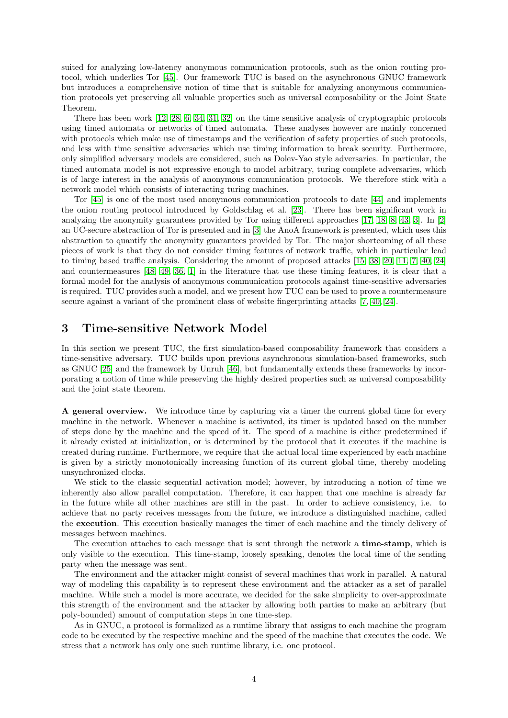suited for analyzing low-latency anonymous communication protocols, such as the onion routing protocol, which underlies Tor [\[45\]](#page-37-0). Our framework TUC is based on the asynchronous GNUC framework but introduces a comprehensive notion of time that is suitable for analyzing anonymous communication protocols yet preserving all valuable properties such as universal composability or the Joint State Theorem.

There has been work [\[12,](#page-35-11) [28,](#page-36-10) [6,](#page-35-12) [34,](#page-36-11) [31,](#page-36-12) [32\]](#page-36-13) on the time sensitive analysis of cryptographic protocols using timed automata or networks of timed automata. These analyses however are mainly concerned with protocols which make use of timestamps and the verification of safety properties of such protocols, and less with time sensitive adversaries which use timing information to break security. Furthermore, only simplified adversary models are considered, such as Dolev-Yao style adversaries. In particular, the timed automata model is not expressive enough to model arbitrary, turing complete adversaries, which is of large interest in the analysis of anonymous communication protocols. We therefore stick with a network model which consists of interacting turing machines.

Tor [\[45\]](#page-37-0) is one of the most used anonymous communication protocols to date [\[44\]](#page-37-1) and implements the onion routing protocol introduced by Goldschlag et al. [\[23\]](#page-36-14). There has been significant work in analyzing the anonymity guarantees provided by Tor using different approaches [\[17,](#page-35-13) [18,](#page-35-2) [8,](#page-35-1) [43,](#page-37-2) [3\]](#page-35-14). In [\[2\]](#page-35-3) an UC-secure abstraction of Tor is presented and in [\[3\]](#page-35-14) the AnoA framework is presented, which uses this abstraction to quantify the anonymity guarantees provided by Tor. The major shortcoming of all these pieces of work is that they do not consider timing features of network traffic, which in particular lead to timing based traffic analysis. Considering the amount of proposed attacks [\[15,](#page-35-15) [38,](#page-36-0) [20,](#page-36-1) [11,](#page-35-4) [7,](#page-35-7) [40,](#page-37-5) [24\]](#page-36-8) and countermeasures [\[48,](#page-37-7) [49,](#page-37-8) [36,](#page-36-15) [1\]](#page-34-1) in the literature that use these timing features, it is clear that a formal model for the analysis of anonymous communication protocols against time-sensitive adversaries is required. TUC provides such a model, and we present how TUC can be used to prove a countermeasure secure against a variant of the prominent class of website fingerprinting attacks [\[7,](#page-35-7) [40,](#page-37-5) [24\]](#page-36-8).

# <span id="page-3-0"></span>3 Time-sensitive Network Model

In this section we present TUC, the first simulation-based composability framework that considers a time-sensitive adversary. TUC builds upon previous asynchronous simulation-based frameworks, such as GNUC [\[25\]](#page-36-7) and the framework by Unruh [\[46\]](#page-37-9), but fundamentally extends these frameworks by incorporating a notion of time while preserving the highly desired properties such as universal composability and the joint state theorem.

A general overview. We introduce time by capturing via a timer the current global time for every machine in the network. Whenever a machine is activated, its timer is updated based on the number of steps done by the machine and the speed of it. The speed of a machine is either predetermined if it already existed at initialization, or is determined by the protocol that it executes if the machine is created during runtime. Furthermore, we require that the actual local time experienced by each machine is given by a strictly monotonically increasing function of its current global time, thereby modeling unsynchronized clocks.

We stick to the classic sequential activation model; however, by introducing a notion of time we inherently also allow parallel computation. Therefore, it can happen that one machine is already far in the future while all other machines are still in the past. In order to achieve consistency, i.e. to achieve that no party receives messages from the future, we introduce a distinguished machine, called the execution. This execution basically manages the timer of each machine and the timely delivery of messages between machines.

The execution attaches to each message that is sent through the network a **time-stamp**, which is only visible to the execution. This time-stamp, loosely speaking, denotes the local time of the sending party when the message was sent.

The environment and the attacker might consist of several machines that work in parallel. A natural way of modeling this capability is to represent these environment and the attacker as a set of parallel machine. While such a model is more accurate, we decided for the sake simplicity to over-approximate this strength of the environment and the attacker by allowing both parties to make an arbitrary (but poly-bounded) amount of computation steps in one time-step.

As in GNUC, a protocol is formalized as a runtime library that assigns to each machine the program code to be executed by the respective machine and the speed of the machine that executes the code. We stress that a network has only one such runtime library, i.e. one protocol.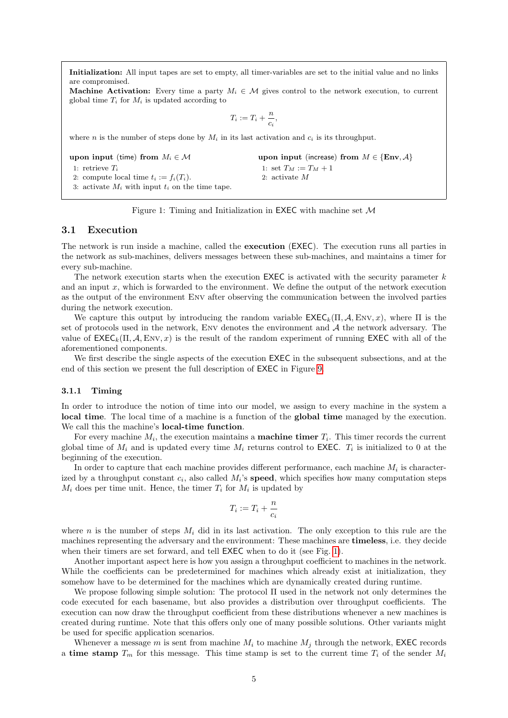<span id="page-4-2"></span>Initialization: All input tapes are set to empty, all timer-variables are set to the initial value and no links are compromised.

**Machine Activation:** Every time a party  $M_i \in \mathcal{M}$  gives control to the network execution, to current global time  $T_i$  for  $M_i$  is updated according to

$$
T_i := T_i + \frac{n}{c_i},
$$

where n is the number of steps done by  $M_i$  in its last activation and  $c_i$  is its throughput.

upon input (time) from  $M_i \in \mathcal{M}$ 1: retrieve  $T_i$ 2: compute local time  $t_i := f_i(T_i)$ . 3: activate  $M_i$  with input  $t_i$  on the time tape. upon input (increase) from  $M \in \{Env, A\}$ 1: set  $T_M := T_M + 1$ 2: activate M

### Figure 1: Timing and Initialization in **EXEC** with machine set  $M$

### <span id="page-4-0"></span>3.1 Execution

The network is run inside a machine, called the execution (EXEC). The execution runs all parties in the network as sub-machines, delivers messages between these sub-machines, and maintains a timer for every sub-machine.

The network execution starts when the execution EXEC is activated with the security parameter  $k$ and an input  $x$ , which is forwarded to the environment. We define the output of the network execution as the output of the environment Env after observing the communication between the involved parties during the network execution.

We capture this output by introducing the random variable  $\mathsf{EXEC}_k(\Pi, \mathcal{A}, \text{Env}, x)$ , where  $\Pi$  is the set of protocols used in the network, ENV denotes the environment and  $A$  the network adversary. The value of  $\mathsf{EXEC}_k(\Pi, \mathcal{A}, \text{Env}, x)$  is the result of the random experiment of running EXEC with all of the aforementioned components.

We first describe the single aspects of the execution  $EXEC$  in the subsequent subsections, and at the end of this section we present the full description of EXEC in Figure [9.](#page-11-0)

### <span id="page-4-1"></span>3.1.1 Timing

In order to introduce the notion of time into our model, we assign to every machine in the system a local time. The local time of a machine is a function of the global time managed by the execution. We call this the machine's local-time function.

For every machine  $M_i$ , the execution maintains a **machine timer**  $T_i$ . This timer records the current global time of  $M_i$  and is updated every time  $M_i$  returns control to EXEC.  $T_i$  is initialized to 0 at the beginning of the execution.

In order to capture that each machine provides different performance, each machine  $M_i$  is characterized by a throughput constant  $c_i$ , also called  $M_i$ 's **speed**, which specifies how many computation steps  $M_i$  does per time unit. Hence, the timer  $T_i$  for  $M_i$  is updated by

$$
T_i:=T_i+\frac{n}{c_i}
$$

where n is the number of steps  $M_i$  did in its last activation. The only exception to this rule are the machines representing the adversary and the environment: These machines are timeless, i.e. they decide when their timers are set forward, and tell **EXEC** when to do it (see Fig. [1\)](#page-4-2).

Another important aspect here is how you assign a throughput coefficient to machines in the network. While the coefficients can be predetermined for machines which already exist at initialization, they somehow have to be determined for the machines which are dynamically created during runtime.

We propose following simple solution: The protocol Π used in the network not only determines the code executed for each basename, but also provides a distribution over throughput coefficients. The execution can now draw the throughput coefficient from these distributions whenever a new machines is created during runtime. Note that this offers only one of many possible solutions. Other variants might be used for specific application scenarios.

Whenever a message m is sent from machine  $M_i$  to machine  $M_i$  through the network, EXEC records a time stamp  $T_m$  for this message. This time stamp is set to the current time  $T_i$  of the sender  $M_i$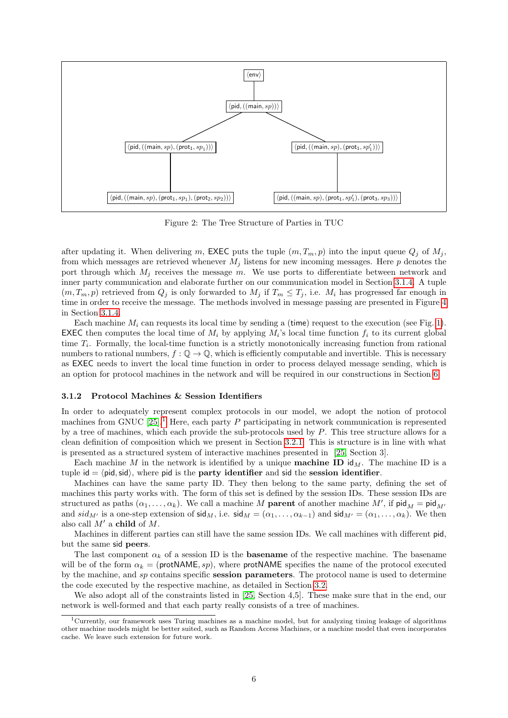<span id="page-5-2"></span>

Figure 2: The Tree Structure of Parties in TUC

after updating it. When delivering m, EXEC puts the tuple  $(m, T_m, p)$  into the input queue  $Q_j$  of  $M_j$ , from which messages are retrieved whenever  $M_j$  listens for new incoming messages. Here p denotes the port through which  $M_j$  receives the message m. We use ports to differentiate between network and inner party communication and elaborate further on our communication model in Section [3.1.4.](#page-6-1) A tuple  $(m, T_m, p)$  retrieved from  $Q_j$  is only forwarded to  $M_j$  if  $T_m \le T_j$ , i.e.  $M_i$  has progressed far enough in time in order to receive the message. The methods involved in message passing are presented in Figure [4](#page-7-1) in Section [3.1.4.](#page-6-1)

Each machine  $M_i$  can requests its local time by sending a (time) request to the execution (see Fig. [1\)](#page-4-2). **EXEC** then computes the local time of  $M_i$  by applying  $M_i$ 's local time function  $f_i$  to its current global time  $T_i$ . Formally, the local-time function is a strictly monotonically increasing function from rational numbers to rational numbers,  $f : \mathbb{Q} \to \mathbb{Q}$ , which is efficiently computable and invertible. This is necessary as EXEC needs to invert the local time function in order to process delayed message sending, which is an option for protocol machines in the network and will be required in our constructions in Section [6.](#page-33-0)

### <span id="page-5-0"></span>3.1.2 Protocol Machines & Session Identifiers

In order to adequately represent complex protocols in our model, we adopt the notion of protocol machines from GNUC  $[25]$ <sup>[1](#page-5-1)</sup>. Here, each party P participating in network communication is represented by a tree of machines, which each provide the sub-protocols used by  $P$ . This tree structure allows for a clean definition of composition which we present in Section [3.2.1.](#page-12-1) This is structure is in line with what is presented as a structured system of interactive machines presented in [\[25,](#page-36-7) Section 3].

Each machine M in the network is identified by a unique **machine ID** id<sub>M</sub>. The machine ID is a tuple id  $=$   $\langle$  pid, sid $\rangle$ , where pid is the **party identifier** and sid the session identifier.

Machines can have the same party ID. They then belong to the same party, defining the set of machines this party works with. The form of this set is defined by the session IDs. These session IDs are structured as paths  $(\alpha_1, \ldots, \alpha_k)$ . We call a machine M **parent** of another machine M', if  $\text{pid}_M = \text{pid}_{M'}$ and  $sid_{M'}$  is a one-step extension of  $sid_M$ , i.e.  $sid_M = (\alpha_1, \ldots, \alpha_{k-1})$  and  $sid_{M'} = (\alpha_1, \ldots, \alpha_k)$ . We then also call  $M'$  a child of M.

Machines in different parties can still have the same session IDs. We call machines with different pid, but the same sid peers.

The last component  $\alpha_k$  of a session ID is the **basename** of the respective machine. The basename will be of the form  $\alpha_k = (\text{protNAME}, sp)$ , where protNAME specifies the name of the protocol executed by the machine, and sp contains specific session parameters. The protocol name is used to determine the code executed by the respective machine, as detailed in Section [3.2.](#page-12-0)

We also adopt all of the constraints listed in [\[25,](#page-36-7) Section 4,5]. These make sure that in the end, our network is well-formed and that each party really consists of a tree of machines.

<span id="page-5-1"></span> $1$ Currently, our framework uses Turing machines as a machine model, but for analyzing timing leakage of algorithms other machine models might be better suited, such as Random Access Machines, or a machine model that even incorporates cache. We leave such extension for future work.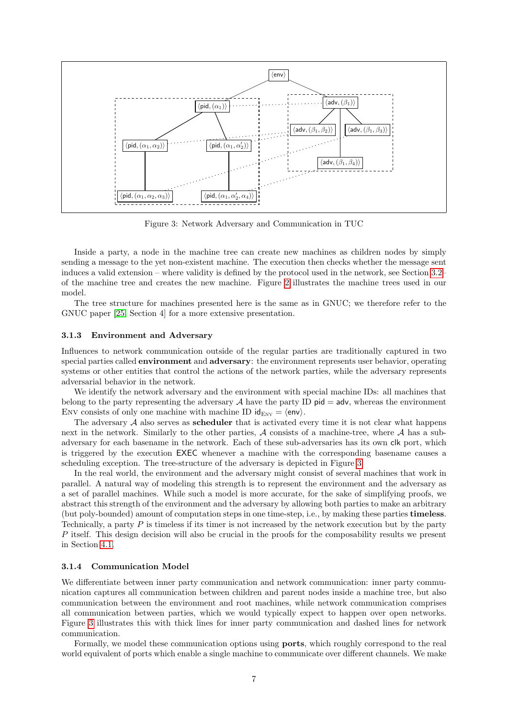<span id="page-6-2"></span>

Figure 3: Network Adversary and Communication in TUC

Inside a party, a node in the machine tree can create new machines as children nodes by simply sending a message to the yet non-existent machine. The execution then checks whether the message sent induces a valid extension – where validity is defined by the protocol used in the network, see Section [3.2–](#page-12-0) of the machine tree and creates the new machine. Figure [2](#page-5-2) illustrates the machine trees used in our model.

The tree structure for machines presented here is the same as in GNUC; we therefore refer to the GNUC paper [\[25,](#page-36-7) Section 4] for a more extensive presentation.

### <span id="page-6-0"></span>3.1.3 Environment and Adversary

Influences to network communication outside of the regular parties are traditionally captured in two special parties called **environment** and **adversary**: the environment represents user behavior, operating systems or other entities that control the actions of the network parties, while the adversary represents adversarial behavior in the network.

We identify the network adversary and the environment with special machine IDs: all machines that belong to the party representing the adversary  $A$  have the party ID pid  $=$  adv, whereas the environment ENV consists of only one machine with machine ID  $\mathsf{id}_{\text{Env}} = \langle \mathsf{env} \rangle$ .

The adversary  $A$  also serves as **scheduler** that is activated every time it is not clear what happens next in the network. Similarly to the other parties,  $A$  consists of a machine-tree, where  $A$  has a subadversary for each basename in the network. Each of these sub-adversaries has its own clk port, which is triggered by the execution EXEC whenever a machine with the corresponding basename causes a scheduling exception. The tree-structure of the adversary is depicted in Figure [3.](#page-6-2)

In the real world, the environment and the adversary might consist of several machines that work in parallel. A natural way of modeling this strength is to represent the environment and the adversary as a set of parallel machines. While such a model is more accurate, for the sake of simplifying proofs, we abstract this strength of the environment and the adversary by allowing both parties to make an arbitrary (but poly-bounded) amount of computation steps in one time-step, i.e., by making these parties timeless. Technically, a party  $P$  is timeless if its timer is not increased by the network execution but by the party P itself. This design decision will also be crucial in the proofs for the composability results we present in Section [4.1.](#page-15-0)

### <span id="page-6-1"></span>3.1.4 Communication Model

We differentiate between inner party communication and network communication: inner party communication captures all communication between children and parent nodes inside a machine tree, but also communication between the environment and root machines, while network communication comprises all communication between parties, which we would typically expect to happen over open networks. Figure [3](#page-6-2) illustrates this with thick lines for inner party communication and dashed lines for network communication.

Formally, we model these communication options using ports, which roughly correspond to the real world equivalent of ports which enable a single machine to communicate over different channels. We make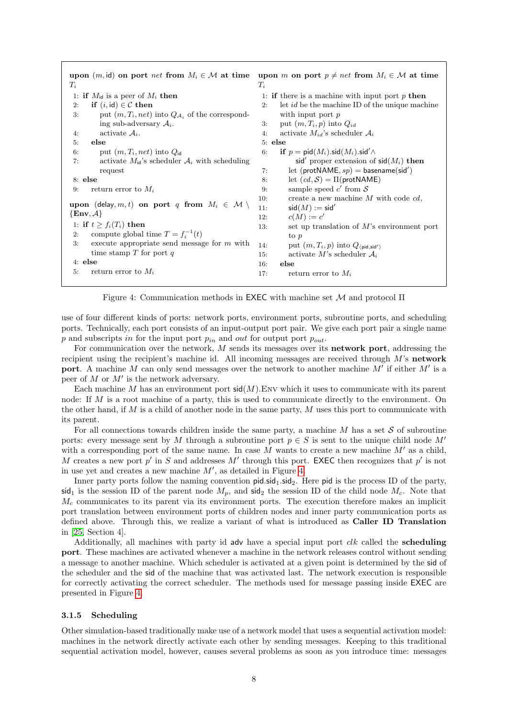<span id="page-7-1"></span>

| upon $(m, id)$ on port <i>net</i> from $M_i \in \mathcal{M}$ at time                                                                                                                                                                                                                                                                                                                                                                              | upon m on port $p \neq net$ from $M_i \in \mathcal{M}$ at time                                                                                                                                                                                                                                                                                                                                                                                                                                                                                                                             |
|---------------------------------------------------------------------------------------------------------------------------------------------------------------------------------------------------------------------------------------------------------------------------------------------------------------------------------------------------------------------------------------------------------------------------------------------------|--------------------------------------------------------------------------------------------------------------------------------------------------------------------------------------------------------------------------------------------------------------------------------------------------------------------------------------------------------------------------------------------------------------------------------------------------------------------------------------------------------------------------------------------------------------------------------------------|
| $T_i$                                                                                                                                                                                                                                                                                                                                                                                                                                             | $T_i$                                                                                                                                                                                                                                                                                                                                                                                                                                                                                                                                                                                      |
| 1: if $M_{\text{id}}$ is a peer of $M_i$ then                                                                                                                                                                                                                                                                                                                                                                                                     | 1: if there is a machine with input port $p$ then                                                                                                                                                                                                                                                                                                                                                                                                                                                                                                                                          |
| if $(i, id) \in \mathcal{C}$ then                                                                                                                                                                                                                                                                                                                                                                                                                 | let <i>id</i> be the machine ID of the unique machine                                                                                                                                                                                                                                                                                                                                                                                                                                                                                                                                      |
| 2:                                                                                                                                                                                                                                                                                                                                                                                                                                                | 2:                                                                                                                                                                                                                                                                                                                                                                                                                                                                                                                                                                                         |
| put $(m, T_i, net)$ into $Q_{\mathcal{A}_i}$ of the correspond-                                                                                                                                                                                                                                                                                                                                                                                   | with input port $p$                                                                                                                                                                                                                                                                                                                                                                                                                                                                                                                                                                        |
| 3:                                                                                                                                                                                                                                                                                                                                                                                                                                                | put $(m, T_i, p)$ into $Q_{id}$                                                                                                                                                                                                                                                                                                                                                                                                                                                                                                                                                            |
| ing sub-adversary $A_i$ .                                                                                                                                                                                                                                                                                                                                                                                                                         | 3.                                                                                                                                                                                                                                                                                                                                                                                                                                                                                                                                                                                         |
| activate $A_i$ .                                                                                                                                                                                                                                                                                                                                                                                                                                  | activate $M_{id}$ 's scheduler $A_i$                                                                                                                                                                                                                                                                                                                                                                                                                                                                                                                                                       |
| 4:                                                                                                                                                                                                                                                                                                                                                                                                                                                | 4:                                                                                                                                                                                                                                                                                                                                                                                                                                                                                                                                                                                         |
| else<br>5:<br>put $(m, T_i, net)$ into $Q_{id}$<br>6:<br>activate $M_{id}$ 's scheduler $A_i$ with scheduling<br>7:<br>request<br>$8:$ else<br>return error to $M_i$<br>9:<br>upon (delay, m, t) on port q from $M_i \in \mathcal{M} \setminus$<br>$\{Env, A\}$<br>1: if $t \geq f_i(T_i)$ then<br>compute global time $T = f_i^{-1}(t)$<br>2:<br>execute appropriate send message for $m$ with<br>3:<br>time stamp $T$ for port $q$<br>$4:$ else | $5:$ else<br>if $p = \text{pid}(M_i) \cdot \text{sid}(M_i) \cdot \text{sid}' \wedge$<br>6:<br>sid' proper extension of $\text{sid}(M_i)$ then<br>let (protNAME, $sp$ ) = basename(sid')<br>7:<br>let $(cd, S) = \Pi(\text{protNAME})$<br>8:<br>sample speed $c'$ from $S$<br>9:<br>create a new machine $M$ with code $cd$ ,<br>10:<br>$sid(M) := sid'$<br>11:<br>$c(M) := c'$<br>12:<br>set up translation of $M$ 's environment port<br>13:<br>to p<br>put $(m, T_i, p)$ into $Q_{\langle \text{pid}, \text{sid}' \rangle}$<br>14:<br>activate M's scheduler $A_i$<br>15:<br>else<br>16: |
| return error to $M_i$                                                                                                                                                                                                                                                                                                                                                                                                                             | return error to $M_i$                                                                                                                                                                                                                                                                                                                                                                                                                                                                                                                                                                      |
| 5:                                                                                                                                                                                                                                                                                                                                                                                                                                                | 17:                                                                                                                                                                                                                                                                                                                                                                                                                                                                                                                                                                                        |

Figure 4: Communication methods in **EXEC** with machine set  $M$  and protocol  $\Pi$ 

use of four different kinds of ports: network ports, environment ports, subroutine ports, and scheduling ports. Technically, each port consists of an input-output port pair. We give each port pair a single name p and subscripts in for the input port  $p_{in}$  and out for output port  $p_{out}$ .

For communication over the network, M sends its messages over its network port, addressing the recipient using the recipient's machine id. All incoming messages are received through M's network port. A machine M can only send messages over the network to another machine  $M'$  if either  $M'$  is a peer of  $M$  or  $M'$  is the network adversary.

Each machine M has an environment port  $sid(M)$ . Env which it uses to communicate with its parent node: If M is a root machine of a party, this is used to communicate directly to the environment. On the other hand, if  $M$  is a child of another node in the same party,  $M$  uses this port to communicate with its parent.

For all connections towards children inside the same party, a machine  $M$  has a set  $\mathcal S$  of subroutine ports: every message sent by M through a subroutine port  $p \in S$  is sent to the unique child node M<sup>o</sup> with a corresponding port of the same name. In case  $M$  wants to create a new machine  $M'$  as a child, M creates a new port  $p'$  in S and addresses M' through this port. EXEC then recognizes that  $p'$  is not in use yet and creates a new machine  $M'$ , as detailed in Figure [4.](#page-7-1)

Inner party ports follow the naming convention  $pid\text{.}sid_1\text{.}sid_2$ . Here pid is the process ID of the party,  $\mathsf{sid}_1$  is the session ID of the parent node  $M_p$ , and  $\mathsf{sid}_2$  the session ID of the child node  $M_c$ . Note that  $M_c$  communicates to its parent via its environment ports. The execution therefore makes an implicit port translation between environment ports of children nodes and inner party communication ports as defined above. Through this, we realize a variant of what is introduced as Caller ID Translation in [\[25,](#page-36-7) Section 4].

Additionally, all machines with party id adv have a special input port  $clk$  called the scheduling port. These machines are activated whenever a machine in the network releases control without sending a message to another machine. Which scheduler is activated at a given point is determined by the sid of the scheduler and the sid of the machine that was activated last. The network execution is responsible for correctly activating the correct scheduler. The methods used for message passing inside EXEC are presented in Figure [4.](#page-7-1)

### <span id="page-7-0"></span>3.1.5 Scheduling

Other simulation-based traditionally make use of a network model that uses a sequential activation model: machines in the network directly activate each other by sending messages. Keeping to this traditional sequential activation model, however, causes several problems as soon as you introduce time: messages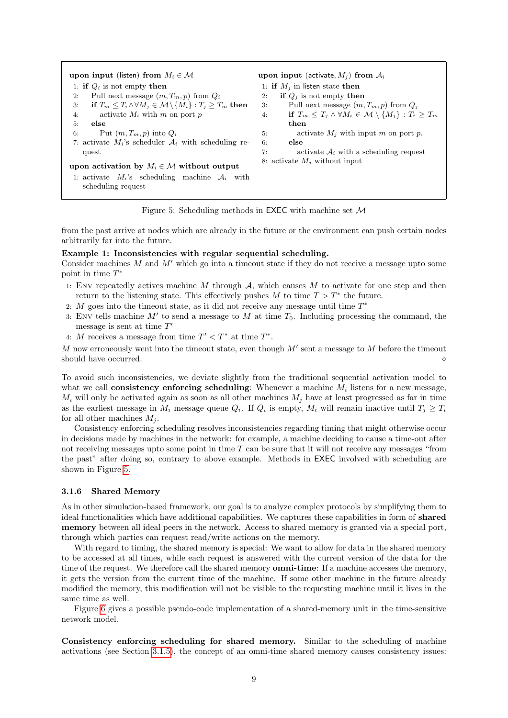<span id="page-8-1"></span>



from the past arrive at nodes which are already in the future or the environment can push certain nodes arbitrarily far into the future.

### Example 1: Inconsistencies with regular sequential scheduling.

Consider machines  $M$  and  $M'$  which go into a timeout state if they do not receive a message upto some point in time  $T^*$ 

- 1: ENV repeatedly actives machine M through  $A$ , which causes M to activate for one step and then return to the listening state. This effectively pushes M to time  $T > T^*$  the future.
- 2: M goes into the timeout state, as it did not receive any message until time  $T^*$
- 3: Env tells machine  $M'$  to send a message to  $M$  at time  $T_0$ . Including processing the command, the message is sent at time  $T'$
- 4: M receives a message from time  $T' < T^*$  at time  $T^*$ .

M now erroneously went into the timeout state, even though  $M'$  sent a message to M before the timeout should have occurred.

To avoid such inconsistencies, we deviate slightly from the traditional sequential activation model to what we call **consistency enforcing scheduling**: Whenever a machine  $M_i$  listens for a new message,  $M_i$  will only be activated again as soon as all other machines  $M_j$  have at least progressed as far in time as the earliest message in  $M_i$  message queue  $Q_i$ . If  $Q_i$  is empty,  $M_i$  will remain inactive until  $T_j \geq T_i$ for all other machines  $M_i$ .

Consistency enforcing scheduling resolves inconsistencies regarding timing that might otherwise occur in decisions made by machines in the network: for example, a machine deciding to cause a time-out after not receiving messages upto some point in time T can be sure that it will not receive any messages "from the past" after doing so, contrary to above example. Methods in EXEC involved with scheduling are shown in Figure [5.](#page-8-1)

### <span id="page-8-0"></span>3.1.6 Shared Memory

As in other simulation-based framework, our goal is to analyze complex protocols by simplifying them to ideal functionalities which have additional capabilities. We captures these capabilities in form of shared memory between all ideal peers in the network. Access to shared memory is granted via a special port, through which parties can request read/write actions on the memory.

With regard to timing, the shared memory is special: We want to allow for data in the shared memory to be accessed at all times, while each request is answered with the current version of the data for the time of the request. We therefore call the shared memory **omni-time**: If a machine accesses the memory, it gets the version from the current time of the machine. If some other machine in the future already modified the memory, this modification will not be visible to the requesting machine until it lives in the same time as well.

Figure [6](#page-9-1) gives a possible pseudo-code implementation of a shared-memory unit in the time-sensitive network model.

Consistency enforcing scheduling for shared memory. Similar to the scheduling of machine activations (see Section [3.1.5\)](#page-7-0), the concept of an omni-time shared memory causes consistency issues: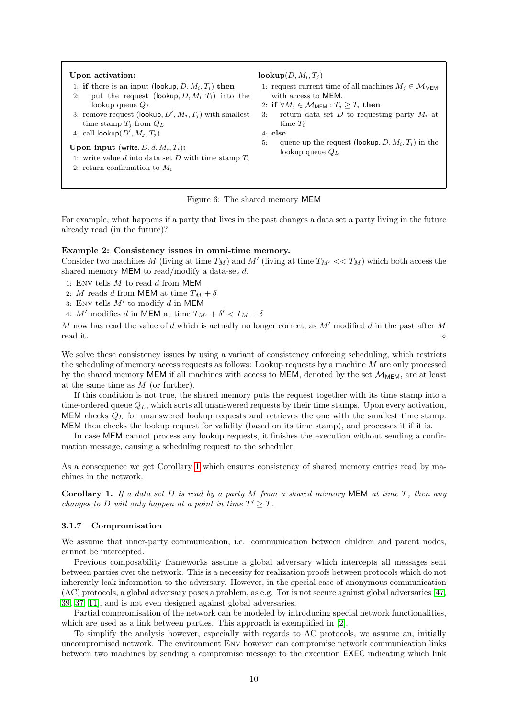#### <span id="page-9-1"></span>Upon activation:

- 1: if there is an input (lookup,  $D, M_i, T_i$ ) then
- 2: put the request (lookup,  $D, M_i, T_i$ ) into the lookup queue  $Q_L$
- 3: remove request (lookup,  $D', M_j, T_j$ ) with smallest time stamp  $T_j$  from  $Q_L$ 4: call  $\textsf{lookup}(D', M_j, T_j)$
- Upon input (write,  $D, d, M_i, T_i$ ):
- 1: write value d into data set D with time stamp  $T_i$
- 2: return confirmation to  $M_i$

 $\mathbf{lookup}(D, M_i, T_i)$ 

- 1: request current time of all machines  $M_i \in \mathcal{M}_{MEM}$ with access to MEM.
- 2: if  $\forall M_i \in \mathcal{M}_{MEM}$  :  $T_i \geq T_i$  then
- 3: return data set  $D$  to requesting party  $M_i$  at time  $T_i$
- 4: else
- 5: queue up the request (lookup,  $D, M_i, T_i$ ) in the lookup queue  $Q_L$

#### Figure 6: The shared memory MEM

For example, what happens if a party that lives in the past changes a data set a party living in the future already read (in the future)?

### Example 2: Consistency issues in omni-time memory.

Consider two machines M (living at time  $T_M$ ) and M' (living at time  $T_{M'} \ll T_M$ ) which both access the shared memory MEM to read/modify a data-set d.

- 1: Env tells  $M$  to read  $d$  from MEM
- 2: M reads d from MEM at time  $T_M + \delta$
- 3: Env tells  $M'$  to modify d in MEM
- 4: M' modifies d in MEM at time  $T_{M'} + \delta' < T_M + \delta$

M now has read the value of d which is actually no longer correct, as  $M'$  modified d in the past after M read it.

We solve these consistency issues by using a variant of consistency enforcing scheduling, which restricts the scheduling of memory access requests as follows: Lookup requests by a machine M are only processed by the shared memory MEM if all machines with access to MEM, denoted by the set  $M_{MEM}$ , are at least at the same time as M (or further).

If this condition is not true, the shared memory puts the request together with its time stamp into a time-ordered queue  $Q_L$ , which sorts all unanswered requests by their time stamps. Upon every activation, MEM checks  $Q_L$  for unanswered lookup requests and retrieves the one with the smallest time stamp. MEM then checks the lookup request for validity (based on its time stamp), and processes it if it is.

In case MEM cannot process any lookup requests, it finishes the execution without sending a confirmation message, causing a scheduling request to the scheduler.

As a consequence we get Corollary [1](#page-9-2) which ensures consistency of shared memory entries read by machines in the network.

<span id="page-9-2"></span>Corollary 1. If a data set  $D$  is read by a party  $M$  from a shared memory MEM at time  $T$ , then any changes to D will only happen at a point in time  $T' \geq T$ .

### <span id="page-9-0"></span>3.1.7 Compromisation

We assume that inner-party communication, i.e. communication between children and parent nodes, cannot be intercepted.

Previous composability frameworks assume a global adversary which intercepts all messages sent between parties over the network. This is a necessity for realization proofs between protocols which do not inherently leak information to the adversary. However, in the special case of anonymous communication (AC) protocols, a global adversary poses a problem, as e.g. Tor is not secure against global adversaries [\[47,](#page-37-3) [39,](#page-37-4) [37,](#page-36-2) [11\]](#page-35-4), and is not even designed against global adversaries.

Partial compromisation of the network can be modeled by introducing special network functionalities, which are used as a link between parties. This approach is exemplified in [\[2\]](#page-35-3).

To simplify the analysis however, especially with regards to AC protocols, we assume an, initially uncompromised network. The environment Env however can compromise network communication links between two machines by sending a compromise message to the execution EXEC indicating which link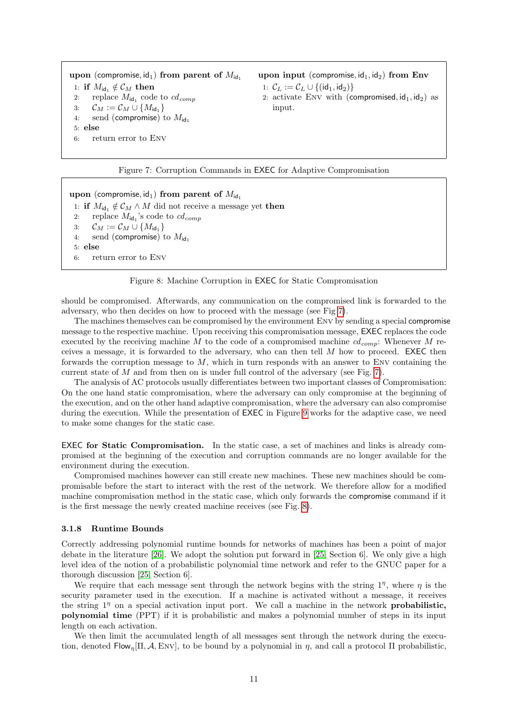<span id="page-10-1"></span>upon (compromise,  $id_1$ ) from parent of  $M_{id_1}$ 1: if  $M_{\text{id}_1} \notin \mathcal{C}_M$  then<br>2: replace  $M_{\text{id}_1}$  code 2: replace  $M_{\text{id}_1}$  code to  $cd_{comp}$ 3:  $C_M := C_M \cup \{M_{\text{id}_1}\}$ <br>4: send (compromise) 1 send (compromise) to  $M_{\rm id}$ , 5: else 6: return error to Env

upon input (compromise,  $\mathsf{id}_1, \mathsf{id}_2$ ) from Env 1:  $C_L := C_L \cup \{(id_1, id_2)\}\$ 

2: activate ENV with (compromised,  $id_1$ ,  $id_2$ ) as input.

Figure 7: Corruption Commands in EXEC for Adaptive Compromisation

<span id="page-10-2"></span>upon (compromise, id<sub>1</sub>) from parent of  $M_{\text{id}_1}$ 1: if  $M_{\text{id}_1} \notin \mathcal{C}_M \wedge M$  did not receive a message yet then<br>2: replace  $M_{\text{id}_1}$ 's code to  $cd_{comm}$ 2: replace  $M_{\mathsf{id}_1}$ 's code to  $cd_{comp}$ 3:  $C_M := C_M \cup \{M_{\text{id}_1}\}\$ <br>4: send (compromise) t send (compromise) to  $M_{\text{id}_1}$ 5: else 6: return error to Env

Figure 8: Machine Corruption in EXEC for Static Compromisation

should be compromised. Afterwards, any communication on the compromised link is forwarded to the adversary, who then decides on how to proceed with the message (see Fig [7\)](#page-10-1).

The machines themselves can be compromised by the environment Env by sending a special compromise message to the respective machine. Upon receiving this compromisation message, EXEC replaces the code executed by the receiving machine M to the code of a compromised machine  $cd_{comp}$ : Whenever M receives a message, it is forwarded to the adversary, who can then tell M how to proceed. EXEC then forwards the corruption message to  $M$ , which in turn responds with an answer to ENV containing the current state of M and from then on is under full control of the adversary (see Fig.  $7$ ).

The analysis of AC protocols usually differentiates between two important classes of Compromisation: On the one hand static compromisation, where the adversary can only compromise at the beginning of the execution, and on the other hand adaptive compromisation, where the adversary can also compromise during the execution. While the presentation of EXEC in Figure [9](#page-11-0) works for the adaptive case, we need to make some changes for the static case.

EXEC for Static Compromisation. In the static case, a set of machines and links is already compromised at the beginning of the execution and corruption commands are no longer available for the environment during the execution.

Compromised machines however can still create new machines. These new machines should be compromisable before the start to interact with the rest of the network. We therefore allow for a modified machine compromisation method in the static case, which only forwards the compromise command if it is the first message the newly created machine receives (see Fig. [8\)](#page-10-2).

### <span id="page-10-0"></span>3.1.8 Runtime Bounds

Correctly addressing polynomial runtime bounds for networks of machines has been a point of major debate in the literature [\[26\]](#page-36-16). We adopt the solution put forward in [\[25,](#page-36-7) Section 6]. We only give a high level idea of the notion of a probabilistic polynomial time network and refer to the GNUC paper for a thorough discussion [\[25,](#page-36-7) Section 6].

We require that each message sent through the network begins with the string  $1^{\eta}$ , where  $\eta$  is the security parameter used in the execution. If a machine is activated without a message, it receives the string  $1<sup>\eta</sup>$  on a special activation input port. We call a machine in the network **probabilistic**, polynomial time (PPT) if it is probabilistic and makes a polynomial number of steps in its input length on each activation.

We then limit the accumulated length of all messages sent through the network during the execution, denoted Flow<sub>n</sub>[Π, A, ENV], to be bound by a polynomial in  $\eta$ , and call a protocol Π probabilistic,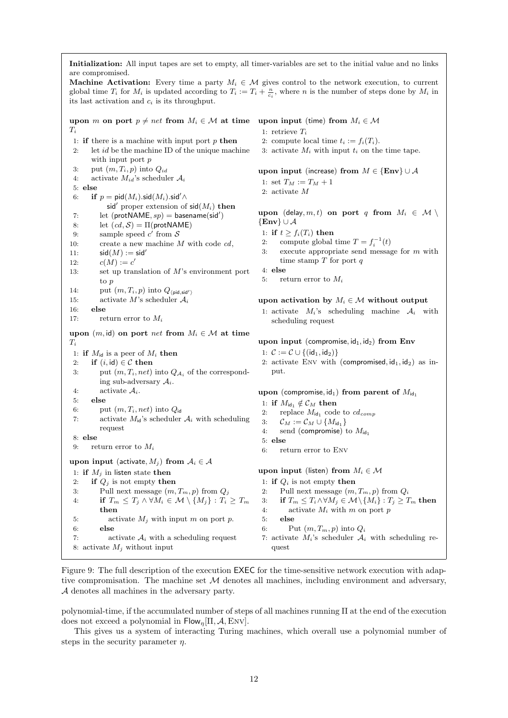<span id="page-11-0"></span>Initialization: All input tapes are set to empty, all timer-variables are set to the initial value and no links are compromised.

**Machine Activation:** Every time a party  $M_i \in \mathcal{M}$  gives control to the network execution, to current global time  $T_i$  for  $M_i$  is updated according to  $T_i := T_i + \frac{n}{c_i}$ , where n is the number of steps done by  $M_i$  in its last activation and  $c_i$  is its throughput.

upon m on port  $p \neq net$  from  $M_i \in \mathcal{M}$  at time upon input (time) from  $M_i \in \mathcal{M}$  $T_i$ 1: **if** there is a machine with input port  $p$  **then** 2: let  $id$  be the machine ID of the unique machine with input port  $p$ 3: put  $(m, T_i, p)$  into  $Q_{id}$ 4: activate  $M_{id}$ 's scheduler  $A_i$ 5: else 6: if  $p = \text{pid}(M_i)$ .sid $(M_i)$ .sid' $\wedge$ sid' proper extension of  $sid(M_i)$  then 7: let  $(\text{protNAME}, sp) = \text{basename}(\text{sid}')$ 8: let  $(cd, S) = \Pi(\text{protNAME})$ 9: sample speed  $c'$  from  $S$ 10: create a new machine  $M$  with code  $cd$ , 11:  $\mathsf{sid}(M) := \mathsf{sid}'$ 12:  $c(M) := c'$ 13: set up translation of M's environment port to p 14: put  $(m, T_i, p)$  into  $Q_{\langle \text{pid}, \text{sid'} \rangle}$ 15: activate M's scheduler  $A_i$ 16: else 17: return error to  $M_i$ upon  $(m, id)$  on port net from  $M_i \in \mathcal{M}$  at time  $T_i$ 1: if  $M_{id}$  is a peer of  $M_i$  then 2: if  $(i, id) \in \mathcal{C}$  then 3: put  $(m, T_i, net)$  into  $Q_{A_i}$  of the corresponding sub-adversary  $A_i$ . 4: activate  $A_i$ . 5: else 6: put  $(m, T_i, net)$  into  $Q_{\text{id}}$ 7: activate  $M_{\rm id}$ 's scheduler  $A_i$  with scheduling request 8: else 9: return error to  $M_i$ upon input (activate,  $M_i$ ) from  $A_i \in \mathcal{A}$ 1: if  $M_i$  in listen state then 2: if  $Q_j$  is not empty then 3: Pull next message  $(m, T_m, p)$  from  $Q_j$ 4: if  $T_m \leq T_j \wedge \forall M_i \in \mathcal{M} \setminus \{M_j\} : T_i \geq T_m$ then 5: activate  $M_i$  with input m on port p. 6: else 7: activate  $A_i$  with a scheduling request 8: activate  $M_i$  without input 1: retrieve  $T_i$ 2: compute local time  $t_i := f_i(T_i)$ . 3: activate  $M_i$  with input  $t_i$  on the time tape. upon input (increase) from  $M \in \{Env\} \cup A$ 1: set  $T_M := T_M + 1$ 2: activate M upon (delay, m, t) on port q from  $M_i \in \mathcal{M} \setminus$  ${Env} \cup A$ 1: if  $t \ge f_i(T_i)$  then 2: compute global time  $T = f_i^{-1}(t)$ 3: execute appropriate send message for m with time stamp  $T$  for port  $q$ 4: else 5: return error to  $M_i$ upon activation by  $M_i \in \mathcal{M}$  without output 1: activate  $M_i$ 's scheduling machine  $A_i$  with scheduling request upon input (compromise,  $\mathrm{id}_1, \mathrm{id}_2$ ) from Env 1:  $C := C \cup \{(id_1, id_2)\}\$ 2: activate ENV with (compromised,  $id_1$ ,  $id_2$ ) as input. upon (compromise, id<sub>1</sub>) from parent of  $M_{\text{id}_1}$ 1: if  $M_{\text{id}_1} \notin \mathcal{C}_M$  then 2: replace  $M_{\text{id}_1}$  code to  $cd_{comp}$ 3:  $\mathcal{C}_M := \mathcal{C}_M \cup \{M_{\mathsf{id}_1}\}\$ 4: send (compromise) to  $M_{\text{id}_1}$ 5: else 6: return error to Env upon input (listen) from  $M_i \in \mathcal{M}$ 1: if  $Q_i$  is not empty then 2: Pull next message  $(m, T_m, p)$  from  $Q_i$ 3: if  $T_m \leq T_i \wedge \forall M_i \in \mathcal{M} \setminus \{M_i\} : T_i \geq T_m$  then 4: activate  $M_i$  with m on port p 5: else 6: Put  $(m, T_m, p)$  into  $Q_i$ 7: activate  $M_i$ 's scheduler  $\mathcal{A}_i$  with scheduling request

Figure 9: The full description of the execution EXEC for the time-sensitive network execution with adaptive compromisation. The machine set  $M$  denotes all machines, including environment and adversary, A denotes all machines in the adversary party.

polynomial-time, if the accumulated number of steps of all machines running Π at the end of the execution does not exceed a polynomial in  $Flow_n[\Pi, \mathcal{A}, \text{Env}]$ .

This gives us a system of interacting Turing machines, which overall use a polynomial number of steps in the security parameter  $\eta$ .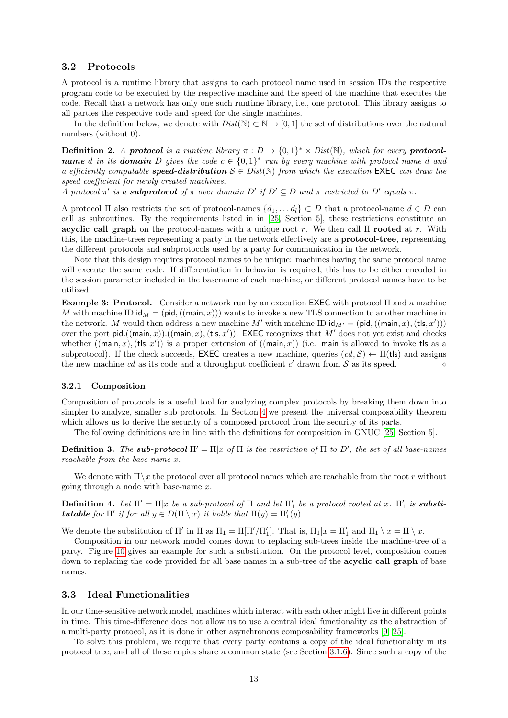### <span id="page-12-0"></span>3.2 Protocols

A protocol is a runtime library that assigns to each protocol name used in session IDs the respective program code to be executed by the respective machine and the speed of the machine that executes the code. Recall that a network has only one such runtime library, i.e., one protocol. This library assigns to all parties the respective code and speed for the single machines.

In the definition below, we denote with  $Dist(\mathbb{N}) \subset \mathbb{N} \to [0,1]$  the set of distributions over the natural numbers (without 0).

**Definition 2.** A protocol is a runtime library  $\pi : D \to \{0,1\}^* \times Dist(\mathbb{N})$ , which for every protocol**name** d in its **domain** D gives the code  $c \in \{0,1\}^*$  run by every machine with protocol name d and a efficiently computable **speed-distribution**  $S \in Dist(\mathbb{N})$  from which the execution EXEC can draw the speed coefficient for newly created machines.

A protocol  $\pi'$  is a **subprotocol** of  $\pi$  over domain  $D'$  if  $D' \subseteq D$  and  $\pi$  restricted to  $D'$  equals  $\pi$ .

A protocol  $\Pi$  also restricts the set of protocol-names  $\{d_1, \ldots d_l\} \subset D$  that a protocol-name  $d \in D$  can call as subroutines. By the requirements listed in in [\[25,](#page-36-7) Section 5], these restrictions constitute an acyclic call graph on the protocol-names with a unique root r. We then call  $\Pi$  rooted at r. With this, the machine-trees representing a party in the network effectively are a protocol-tree, representing the different protocols and subprotocols used by a party for communication in the network.

Note that this design requires protocol names to be unique: machines having the same protocol name will execute the same code. If differentiation in behavior is required, this has to be either encoded in the session parameter included in the basename of each machine, or different protocol names have to be utilized.

Example 3: Protocol. Consider a network run by an execution EXEC with protocol Π and a machine M with machine ID  $\mathsf{id}_M = (\mathsf{pid},((\mathsf{main}, x)))$  wants to invoke a new TLS connection to another machine in the network. M would then address a new machine  $M'$  with machine ID  $\mathsf{id}_{M'} = (\mathsf{pid},((\mathsf{main}, x),(\mathsf{tls}, x')))$ over the port pid.( $(\text{main}, x)$ ).( $(\text{main}, x)$ ,  $(\text{ts}, x')$ ). EXEC recognizes that M' does not yet exist and checks whether  $((\text{main}, x), (\text{ts}, x'))$  is a proper extension of  $((\text{main}, x))$  (i.e. main is allowed to invoke tls as a subprotocol). If the check succeeds, EXEC creates a new machine, queries  $(cd, S) \leftarrow \Pi(\mathsf{tls})$  and assigns the new machine *cd* as its code and a throughput coefficient *c'* drawn from  $S$  as its speed.

### <span id="page-12-1"></span>3.2.1 Composition

Composition of protocols is a useful tool for analyzing complex protocols by breaking them down into simpler to analyze, smaller sub protocols. In Section [4](#page-14-0) we present the universal composability theorem which allows us to derive the security of a composed protocol from the security of its parts.

The following definitions are in line with the definitions for composition in GNUC [\[25,](#page-36-7) Section 5].

**Definition 3.** The **sub-protocol**  $\Pi' = \Pi |x|$  of  $\Pi$  is the restriction of  $\Pi$  to  $D'$ , the set of all base-names reachable from the base-name x.

We denote with  $\Pi \setminus x$  the protocol over all protocol names which are reachable from the root r without going through a node with base-name x.

**Definition 4.** Let  $\Pi' = \Pi | x$  be a sub-protocol of  $\Pi$  and let  $\Pi'_{1}$  be a protocol rooted at x.  $\Pi'_{1}$  is **substitutable** for  $\Pi'$  if for all  $y \in D(\Pi \setminus x)$  it holds that  $\Pi(y) = \Pi'_1(y)$ 

We denote the substitution of  $\Pi'$  in  $\Pi$  as  $\Pi_1 = \Pi[\Pi'/\Pi'_1]$ . That is,  $\Pi_1|x = \Pi'_1$  and  $\Pi_1 \setminus x = \Pi \setminus x$ .

Composition in our network model comes down to replacing sub-trees inside the machine-tree of a party. Figure [10](#page-13-1) gives an example for such a substitution. On the protocol level, composition comes down to replacing the code provided for all base names in a sub-tree of the acyclic call graph of base names.

### <span id="page-12-2"></span>3.3 Ideal Functionalities

In our time-sensitive network model, machines which interact with each other might live in different points in time. This time-difference does not allow us to use a central ideal functionality as the abstraction of a multi-party protocol, as it is done in other asynchronous composability frameworks [\[9,](#page-35-6) [25\]](#page-36-7).

To solve this problem, we require that every party contains a copy of the ideal functionality in its protocol tree, and all of these copies share a common state (see Section [3.1.6\)](#page-8-0). Since such a copy of the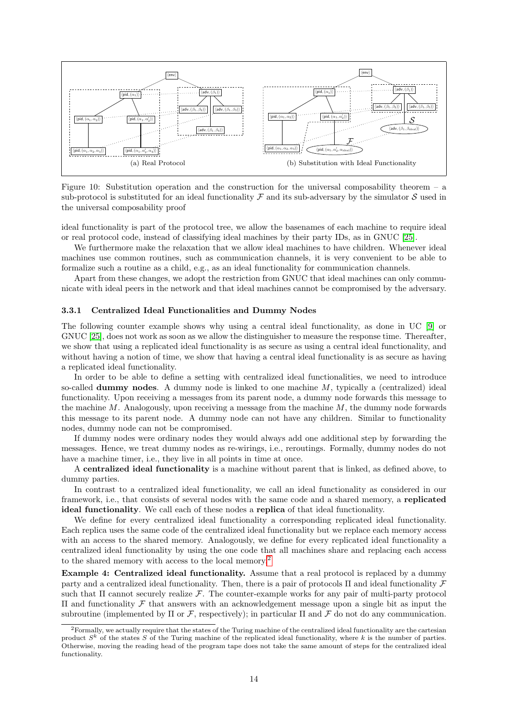<span id="page-13-1"></span>

Figure 10: Substitution operation and the construction for the universal composability theorem – a sub-protocol is substituted for an ideal functionality  $\mathcal F$  and its sub-adversary by the simulator  $\mathcal S$  used in the universal composability proof

ideal functionality is part of the protocol tree, we allow the basenames of each machine to require ideal or real protocol code, instead of classifying ideal machines by their party IDs, as in GNUC [\[25\]](#page-36-7).

We furthermore make the relaxation that we allow ideal machines to have children. Whenever ideal machines use common routines, such as communication channels, it is very convenient to be able to formalize such a routine as a child, e.g., as an ideal functionality for communication channels.

Apart from these changes, we adopt the restriction from GNUC that ideal machines can only communicate with ideal peers in the network and that ideal machines cannot be compromised by the adversary.

#### <span id="page-13-0"></span>3.3.1 Centralized Ideal Functionalities and Dummy Nodes

The following counter example shows why using a central ideal functionality, as done in UC [\[9\]](#page-35-6) or GNUC [\[25\]](#page-36-7), does not work as soon as we allow the distinguisher to measure the response time. Thereafter, we show that using a replicated ideal functionality is as secure as using a central ideal functionality, and without having a notion of time, we show that having a central ideal functionality is as secure as having a replicated ideal functionality.

In order to be able to define a setting with centralized ideal functionalities, we need to introduce so-called **dummy nodes**. A dummy node is linked to one machine  $M$ , typically a (centralized) ideal functionality. Upon receiving a messages from its parent node, a dummy node forwards this message to the machine  $M$ . Analogously, upon receiving a message from the machine  $M$ , the dummy node forwards this message to its parent node. A dummy node can not have any children. Similar to functionality nodes, dummy node can not be compromised.

If dummy nodes were ordinary nodes they would always add one additional step by forwarding the messages. Hence, we treat dummy nodes as re-wirings, i.e., reroutings. Formally, dummy nodes do not have a machine timer, i.e., they live in all points in time at once.

A centralized ideal functionality is a machine without parent that is linked, as defined above, to dummy parties.

In contrast to a centralized ideal functionality, we call an ideal functionality as considered in our framework, i.e., that consists of several nodes with the same code and a shared memory, a replicated ideal functionality. We call each of these nodes a replica of that ideal functionality.

We define for every centralized ideal functionality a corresponding replicated ideal functionality. Each replica uses the same code of the centralized ideal functionality but we replace each memory access with an access to the shared memory. Analogously, we define for every replicated ideal functionality a centralized ideal functionality by using the one code that all machines share and replacing each access to the shared memory with access to the local memory.[2](#page-13-2)

Example 4: Centralized ideal functionality. Assume that a real protocol is replaced by a dummy party and a centralized ideal functionality. Then, there is a pair of protocols  $\Pi$  and ideal functionality  $\mathcal F$ such that  $\Pi$  cannot securely realize  $\mathcal{F}$ . The counter-example works for any pair of multi-party protocol Π and functionality F that answers with an acknowledgement message upon a single bit as input the subroutine (implemented by  $\Pi$  or  $\mathcal F$ , respectively); in particular  $\Pi$  and  $\mathcal F$  do not do any communication.

<span id="page-13-2"></span><sup>&</sup>lt;sup>2</sup>Formally, we actually require that the states of the Turing machine of the centralized ideal functionality are the cartesian product  $S<sup>k</sup>$  of the states S of the Turing machine of the replicated ideal functionality, where k is the number of parties. Otherwise, moving the reading head of the program tape does not take the same amount of steps for the centralized ideal functionality.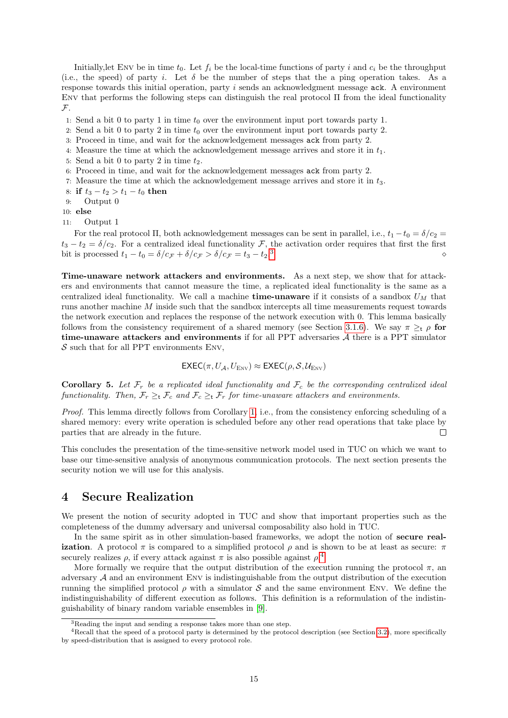Initially, let ENV be in time  $t_0$ . Let  $f_i$  be the local-time functions of party i and  $c_i$  be the throughput (i.e., the speed) of party i. Let  $\delta$  be the number of steps that the a ping operation takes. As a response towards this initial operation, party i sends an acknowledgment message ack. A environment ENV that performs the following steps can distinguish the real protocol  $\Pi$  from the ideal functionality  $\mathcal{F}.$ 

- 1: Send a bit 0 to party 1 in time  $t_0$  over the environment input port towards party 1.
- 2: Send a bit 0 to party 2 in time  $t_0$  over the environment input port towards party 2.
- 3: Proceed in time, and wait for the acknowledgement messages ack from party 2.
- 4: Measure the time at which the acknowledgement message arrives and store it in  $t_1$ .
- 5: Send a bit 0 to party 2 in time  $t_2$ .
- 6: Proceed in time, and wait for the acknowledgement messages ack from party 2.
- 7: Measure the time at which the acknowledgement message arrives and store it in  $t_3$ .
- 8: if  $t_3 t_2 > t_1 t_0$  then<br>9: Output 0
- Output 0

10: else

11: Output 1

For the real protocol Π, both acknowledgement messages can be sent in parallel, i.e.,  $t_1 - t_0 = \delta/c_2$  $t_3 - t_2 = \delta/c_2$ . For a centralized ideal functionality  $\mathcal{F}$ , the activation order requires that first the first bit is processed  $t_1 - t_0 = \delta/c \tau + \delta/c \tau > \delta/c \tau = t_3 - t_2$ . bit is processed  $t_1 - t_0 = \delta/c_{\mathcal{F}} + \delta/c_{\mathcal{F}} > \delta/c_{\mathcal{F}} = t_3 - t_2$ .<sup>3</sup>  $\sim$ 

Time-unaware network attackers and environments. As a next step, we show that for attackers and environments that cannot measure the time, a replicated ideal functionality is the same as a centralized ideal functionality. We call a machine **time-unaware** if it consists of a sandbox  $U_M$  that runs another machine M inside such that the sandbox intercepts all time measurements request towards the network execution and replaces the response of the network execution with 0. This lemma basically follows from the consistency requirement of a shared memory (see Section [3.1.6\)](#page-8-0). We say  $\pi \geq_t \rho$  for time-unaware attackers and environments if for all PPT adversaries  $A$  there is a PPT simulator  $S$  such that for all PPT environments ENV,

$$
\mathsf{EXEC}(\pi, U_{\mathcal{A}}, U_{\text{Env}}) \approx \mathsf{EXEC}(\rho, \mathcal{S}, \mathcal{U}_{\text{Env}})
$$

**Corollary 5.** Let  $\mathcal{F}_r$  be a replicated ideal functionality and  $\mathcal{F}_c$  be the corresponding centralized ideal functionality. Then,  $\mathcal{F}_r \geq_t \mathcal{F}_c$  and  $\mathcal{F}_c \geq_t \mathcal{F}_r$  for time-unaware attackers and environments.

Proof. This lemma directly follows from Corollary [1,](#page-9-2) i.e., from the consistency enforcing scheduling of a shared memory: every write operation is scheduled before any other read operations that take place by parties that are already in the future.  $\Box$ 

This concludes the presentation of the time-sensitive network model used in TUC on which we want to base our time-sensitive analysis of anonymous communication protocols. The next section presents the security notion we will use for this analysis.

# <span id="page-14-0"></span>4 Secure Realization

We present the notion of security adopted in TUC and show that important properties such as the completeness of the dummy adversary and universal composability also hold in TUC.

In the same spirit as in other simulation-based frameworks, we adopt the notion of secure realization. A protocol  $\pi$  is compared to a simplified protocol  $\rho$  and is shown to be at least as secure:  $\pi$ securely realizes  $\rho$ , if every attack against  $\pi$  is also possible against  $\rho$ <sup>[4](#page-14-2)</sup>

More formally we require that the output distribution of the execution running the protocol  $\pi$ , an adversary <sup>A</sup> and an environment Env is indistinguishable from the output distribution of the execution running the simplified protocol  $\rho$  with a simulator S and the same environment ENV. We define the indistinguishability of different execution as follows. This definition is a reformulation of the indistinguishability of binary random variable ensembles in [\[9\]](#page-35-6).

<span id="page-14-2"></span><span id="page-14-1"></span><sup>3</sup>Reading the input and sending a response takes more than one step.

<sup>&</sup>lt;sup>4</sup>Recall that the speed of a protocol party is determined by the protocol description (see Section [3.2\)](#page-12-0), more specifically by speed-distribution that is assigned to every protocol role.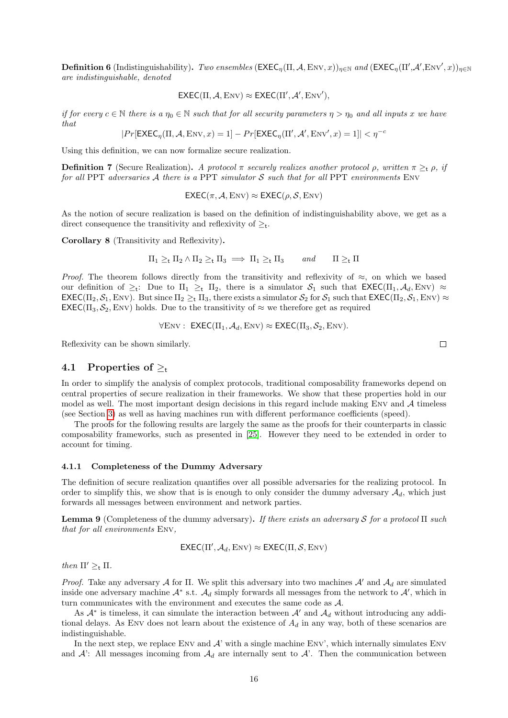**Definition 6** (Indistinguishability). Two ensembles  $(\text{EXEC}_{\eta}(\Pi, \mathcal{A}, \text{Env}, x))_{\eta \in \mathbb{N}}$  and  $(\text{EXEC}_{\eta}(\Pi', \mathcal{A}', \text{Env}', x))_{\eta \in \mathbb{N}}$ are indistinguishable, denoted

$$
\mathsf{EXEC}(\Pi,\mathcal{A},\mathrm{Env}) \approx \mathsf{EXEC}(\Pi',\mathcal{A}',\mathrm{Env}'),
$$

if for every  $c \in \mathbb{N}$  there is a  $\eta_0 \in \mathbb{N}$  such that for all security parameters  $\eta > \eta_0$  and all inputs x we have that

$$
|Pr[\text{EXEC}_{\eta}(\Pi,\mathcal{A},\text{Env},x)=1]-Pr[\text{EXEC}_{\eta}(\Pi',\mathcal{A}',\text{Env}',x)=1]|<\eta^{-c}
$$

Using this definition, we can now formalize secure realization.

**Definition 7** (Secure Realization). A protocol  $\pi$  securely realizes another protocol  $\rho$ , written  $\pi \geq_t \rho$ , if for all PPT adversaries  $A$  there is a PPT simulator  $S$  such that for all PPT environments ENV

$$
\mathsf{EXEC}(\pi,\mathcal{A},\mathrm{Env}) \approx \mathsf{EXEC}(\rho,\mathcal{S},\mathrm{Env})
$$

As the notion of secure realization is based on the definition of indistinguishability above, we get as a direct consequence the transitivity and reflexivity of  $\geq_t$ .

Corollary 8 (Transitivity and Reflexivity).

$$
\Pi_1 \geq_t \Pi_2 \wedge \Pi_2 \geq_t \Pi_3 \implies \Pi_1 \geq_t \Pi_3 \quad \text{and} \quad \Pi \geq_t \Pi
$$

*Proof.* The theorem follows directly from the transitivity and reflexivity of  $\approx$ , on which we based our definition of  $\geq_t$ : Due to  $\Pi_1 \geq_t \Pi_2$ , there is a simulator  $S_1$  such that  $\text{EXEC}(\Pi_1, \mathcal{A}_d, \text{Env}) \approx$  $\mathsf{EXEC}(\Pi_2, \mathcal{S}_1, \text{Env})$ . But since  $\Pi_2 \geq_t \Pi_3$ , there exists a simulator  $\mathcal{S}_2$  for  $\mathcal{S}_1$  such that  $\mathsf{EXEC}(\Pi_2, \mathcal{S}_1, \text{Env}) \approx$  $\mathsf{EXEC}(\Pi_3, \mathcal{S}_2, \mathrm{Env})$  holds. Due to the transitivity of  $\approx$  we therefore get as required

$$
\forall \text{Env} : \ \mathsf{EXEC}(\Pi_1, \mathcal{A}_d, \text{Env}) \approx \mathsf{EXEC}(\Pi_3, \mathcal{S}_2, \text{Env}).
$$

Reflexivity can be shown similarly.

### <span id="page-15-0"></span>4.1 Properties of  $\geq_t$

In order to simplify the analysis of complex protocols, traditional composability frameworks depend on central properties of secure realization in their frameworks. We show that these properties hold in our model as well. The most important design decisions in this regard include making ENV and  $\mathcal A$  timeless (see Section [3\)](#page-3-0) as well as having machines run with different performance coefficients (speed).

The proofs for the following results are largely the same as the proofs for their counterparts in classic composability frameworks, such as presented in [\[25\]](#page-36-7). However they need to be extended in order to account for timing.

### <span id="page-15-1"></span>4.1.1 Completeness of the Dummy Adversary

The definition of secure realization quantifies over all possible adversaries for the realizing protocol. In order to simplify this, we show that is is enough to only consider the dummy adversary  $A_d$ , which just forwards all messages between environment and network parties.

**Lemma 9** (Completeness of the dummy adversary). If there exists an adversary S for a protocol  $\Pi$  such that for all environments Env,

$$
\mathsf{EXEC}(\Pi',\mathcal{A}_d,\mathrm{Env}) \approx \mathsf{EXEC}(\Pi,\mathcal{S},\mathrm{Env})
$$

then  $\Pi' >_{\mathsf{t}} \Pi$ .

Proof. Take any adversary A for Π. We split this adversary into two machines  $\mathcal{A}'$  and  $\mathcal{A}_d$  are simulated inside one adversary machine  $\mathcal{A}^*$  s.t.  $\mathcal{A}_d$  simply forwards all messages from the network to  $\mathcal{A}'$ , which in turn communicates with the environment and executes the same code as A.

As  $\mathcal{A}^*$  is timeless, it can simulate the interaction between  $\mathcal{A}'$  and  $\mathcal{A}_d$  without introducing any additional delays. As ENV does not learn about the existence of  $A_d$  in any way, both of these scenarios are indistinguishable.

In the next step, we replace ENV and  $A'$  with a single machine ENV', which internally simulates ENV and  $A'$ : All messages incoming from  $A_d$  are internally sent to  $A'$ . Then the communication between

 $\Box$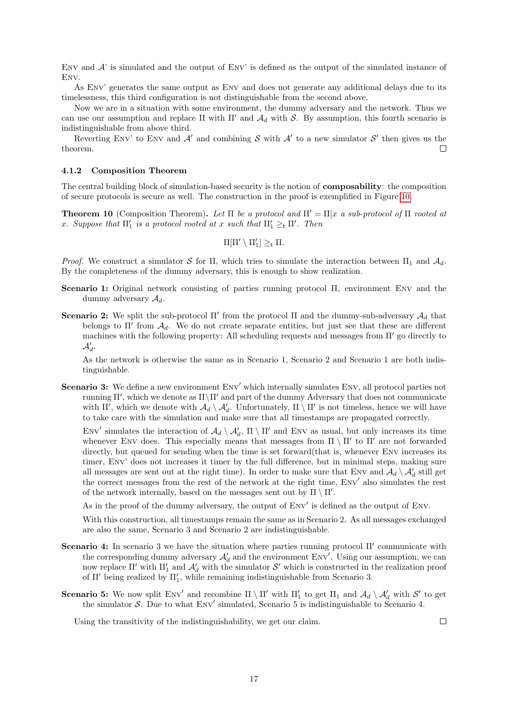ENV and  $A'$  is simulated and the output of ENV' is defined as the output of the simulated instance of Env.

As Env' generates the same output as Env and does not generate any additional delays due to its timelessness, this third configuration is not distinguishable from the second above.

Now we are in a situation with some environment, the dummy adversary and the network. Thus we can use our assumption and replace  $\Pi$  with  $\Pi'$  and  $\mathcal{A}_d$  with S. By assumption, this fourth scenario is indistinguishable from above third.

Reverting ENV' to ENV and  $\mathcal{A}'$  and combining S with  $\mathcal{A}'$  to a new simulator S' then gives us the theorem.  $\Box$ 

### <span id="page-16-0"></span>4.1.2 Composition Theorem

The central building block of simulation-based security is the notion of composability: the composition of secure protocols is secure as well. The construction in the proof is exemplified in Figure [10.](#page-13-1)

<span id="page-16-1"></span>**Theorem 10** (Composition Theorem). Let  $\Pi$  be a protocol and  $\Pi' = \Pi |x|$  a sub-protocol of  $\Pi$  rooted at x. Suppose that  $\Pi_1'$  is a protocol rooted at x such that  $\Pi_1' \geq_{\mathsf{t}} \Pi'$ . Then

$$
\Pi[\Pi' \setminus \Pi_1'] \geq_{\mathsf{t}} \Pi.
$$

Proof. We construct a simulator S for Π, which tries to simulate the interaction between  $\Pi_1$  and  $\mathcal{A}_d$ . By the completeness of the dummy adversary, this is enough to show realization.

- Scenario 1: Original network consisting of parties running protocol Π, environment Env and the dummy adversary  $\mathcal{A}_d$ .
- **Scenario 2:** We split the sub-protocol  $\Pi'$  from the protocol  $\Pi$  and the dummy-sub-adversary  $\mathcal{A}_d$  that belongs to  $\Pi'$  from  $\mathcal{A}_d$ . We do not create separate entities, but just see that these are different machines with the following property: All scheduling requests and messages from  $\Pi'$  go directly to  $\mathcal{A}'_d$ .

As the network is otherwise the same as in Scenario 1, Scenario 2 and Scenario 1 are both indistinguishable.

Scenario 3: We define a new environment Env' which internally simulates Env, all protocol parties not running  $\Pi'$ , which we denote as  $\Pi\setminus\Pi'$  and part of the dummy Adversary that does not communicate with  $\Pi'$ , which we denote with  $\mathcal{A}_d \setminus \mathcal{A}'_d$ . Unfortunately,  $\Pi \setminus \Pi'$  is not timeless, hence we will have to take care with the simulation and make sure that all timestamps are propagated correctly.

ENV' simulates the interaction of  $\mathcal{A}_d \setminus \mathcal{A}'_d$ ,  $\Pi \setminus \Pi'$  and ENV as usual, but only increases its time whenever ENV does. This especially means that messages from  $\Pi \setminus \Pi'$  to  $\Pi'$  are not forwarded directly, but queued for sending when the time is set forward(that is, whenever ENV increases its timer, Env' does not increases it timer by the full difference, but in minimal steps, making sure all messages are sent out at the right time). In order to make sure that ENV and  $\mathcal{A}_d \setminus \mathcal{A}'_d$  still get the correct messages from the rest of the network at the right time, ENV' also simulates the rest of the network internally, based on the messages sent out by  $\Pi \setminus \Pi'$ .

As in the proof of the dummy adversary, the output of Env' is defined as the output of Env.

With this construction, all timestamps remain the same as in Scenario 2. As all messages exchanged are also the same, Scenario 3 and Scenario 2 are indistinguishable.

- **Scenario 4:** In scenario 3 we have the situation where parties running protocol  $\Pi'$  communicate with the corresponding dummy adversary  $\mathcal{A}'_d$  and the environment Env<sup>'</sup>. Using our assumption, we can now replace Π' with  $\Pi_1'$  and  $\mathcal{A}'_d$  with the simulator S' which is constructed in the realization proof of  $\Pi'$  being realized by  $\Pi'_{1}$ , while remaining indistinguishable from Scenario 3.
- **Scenario 5:** We now split ENV' and recombine  $\Pi \setminus \Pi'$  with  $\Pi'_{1}$  to get  $\Pi_{1}$  and  $\mathcal{A}_{d} \setminus \mathcal{A}'_{d}$  with  $\mathcal{S}'$  to get the simulator S. Due to what  $\text{Env}'$  simulated, Scenario 5 is indistinguishable to Scenario 4.

Using the transitivity of the indistinguishability, we get our claim.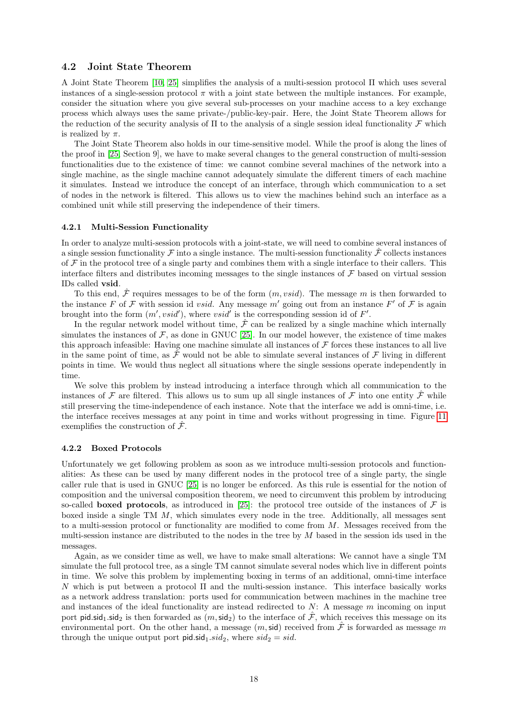### <span id="page-17-0"></span>4.2 Joint State Theorem

A Joint State Theorem [\[10,](#page-35-9) [25\]](#page-36-7) simplifies the analysis of a multi-session protocol Π which uses several instances of a single-session protocol  $\pi$  with a joint state between the multiple instances. For example, consider the situation where you give several sub-processes on your machine access to a key exchange process which always uses the same private-/public-key-pair. Here, the Joint State Theorem allows for the reduction of the security analysis of  $\Pi$  to the analysis of a single session ideal functionality  $\mathcal F$  which is realized by  $\pi$ .

The Joint State Theorem also holds in our time-sensitive model. While the proof is along the lines of the proof in [\[25,](#page-36-7) Section 9], we have to make several changes to the general construction of multi-session functionalities due to the existence of time: we cannot combine several machines of the network into a single machine, as the single machine cannot adequately simulate the different timers of each machine it simulates. Instead we introduce the concept of an interface, through which communication to a set of nodes in the network is filtered. This allows us to view the machines behind such an interface as a combined unit while still preserving the independence of their timers.

### <span id="page-17-1"></span>4.2.1 Multi-Session Functionality

In order to analyze multi-session protocols with a joint-state, we will need to combine several instances of a single session functionality  $\mathcal F$  into a single instance. The multi-session functionality  $\hat{\mathcal F}$  collects instances of  $\mathcal F$  in the protocol tree of a single party and combines them with a single interface to their callers. This interface filters and distributes incoming messages to the single instances of  $\mathcal F$  based on virtual session IDs called vsid.

To this end,  $\hat{\mathcal{F}}$  requires messages to be of the form  $(m, valid)$ . The message m is then forwarded to the instance F of F with session id *vsid*. Any message m' going out from an instance F' of F is again brought into the form  $(m', v\dot{s}id')$ , where  $v\dot{s}id'$  is the corresponding session id of F'.

In the regular network model without time,  $\hat{\mathcal{F}}$  can be realized by a single machine which internally simulates the instances of  $F$ , as done in GNUC [\[25\]](#page-36-7). In our model however, the existence of time makes this approach infeasible: Having one machine simulate all instances of  $\mathcal F$  forces these instances to all live in the same point of time, as  $\mathcal F$  would not be able to simulate several instances of  $\mathcal F$  living in different points in time. We would thus neglect all situations where the single sessions operate independently in time.

We solve this problem by instead introducing a interface through which all communication to the instances of F are filtered. This allows us to sum up all single instances of F into one entity  $\hat{\mathcal{F}}$  while still preserving the time-independence of each instance. Note that the interface we add is omni-time, i.e. the interface receives messages at any point in time and works without progressing in time. Figure [11](#page-18-1) exemplifies the construction of  $\hat{\mathcal{F}}$ .

### <span id="page-17-2"></span>4.2.2 Boxed Protocols

Unfortunately we get following problem as soon as we introduce multi-session protocols and functionalities: As these can be used by many different nodes in the protocol tree of a single party, the single caller rule that is used in GNUC [\[25\]](#page-36-7) is no longer be enforced. As this rule is essential for the notion of composition and the universal composition theorem, we need to circumvent this problem by introducing so-called **boxed protocols**, as introduced in [\[25\]](#page-36-7): the protocol tree outside of the instances of  $\mathcal F$  is boxed inside a single TM M, which simulates every node in the tree. Additionally, all messages sent to a multi-session protocol or functionality are modified to come from M. Messages received from the multi-session instance are distributed to the nodes in the tree by  $M$  based in the session ids used in the messages.

Again, as we consider time as well, we have to make small alterations: We cannot have a single TM simulate the full protocol tree, as a single TM cannot simulate several nodes which live in different points in time. We solve this problem by implementing boxing in terms of an additional, omni-time interface  $N$  which is put between a protocol Π and the multi-session instance. This interface basically works as a network address translation: ports used for communication between machines in the machine tree and instances of the ideal functionality are instead redirected to  $N$ : A message m incoming on input port pid.sid<sub>1</sub>.sid<sub>2</sub> is then forwarded as  $(m,sid_2)$  to the interface of  $\hat{\mathcal{F}}$ , which receives this message on its environmental port. On the other hand, a message  $(m,sid)$  received from  $\mathcal F$  is forwarded as message m through the unique output port  $pidsid_1.sid_2$ , where  $sid_2 = sid$ .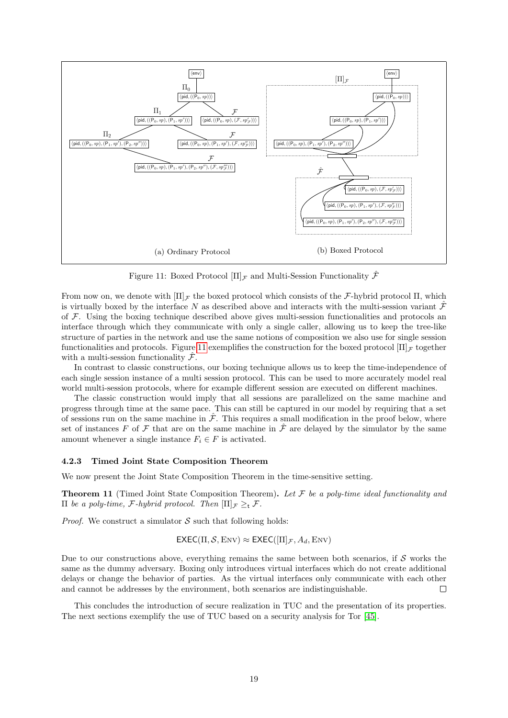<span id="page-18-1"></span>

Figure 11: Boxed Protocol  $[\Pi]_F$  and Multi-Session Functionality  $\hat{\mathcal{F}}$ 

From now on, we denote with  $[\Pi]_F$  the boxed protocol which consists of the F-hybrid protocol  $\Pi$ , which is virtually boxed by the interface N as described above and interacts with the multi-session variant  $\hat{\mathcal{F}}$ of  $\mathcal F$ . Using the boxing technique described above gives multi-session functionalities and protocols an interface through which they communicate with only a single caller, allowing us to keep the tree-like structure of parties in the network and use the same notions of composition we also use for single session functionalities and protocols. Figure [11](#page-18-1) exemplifies the construction for the boxed protocol  $[\Pi]_{\mathcal{F}}$  together with a multi-session functionality  $\hat{\mathcal{F}}$ .

In contrast to classic constructions, our boxing technique allows us to keep the time-independence of each single session instance of a multi session protocol. This can be used to more accurately model real world multi-session protocols, where for example different session are executed on different machines.

The classic construction would imply that all sessions are parallelized on the same machine and progress through time at the same pace. This can still be captured in our model by requiring that a set of sessions run on the same machine in  $\hat{\mathcal{F}}$ . This requires a small modification in the proof below, where set of instances F of F that are on the same machine in  $\hat{\mathcal{F}}$  are delayed by the simulator by the same amount whenever a single instance  $F_i \in F$  is activated.

### <span id="page-18-0"></span>4.2.3 Timed Joint State Composition Theorem

We now present the Joint State Composition Theorem in the time-sensitive setting.

**Theorem 11** (Timed Joint State Composition Theorem). Let  $\mathcal F$  be a poly-time ideal functionality and  $\Pi$  be a poly-time, *F*-hybrid protocol. Then  $\Pi$ <sub>*F*</sub> ≥<sub>t</sub> *F*.

*Proof.* We construct a simulator  $S$  such that following holds:

$$
\mathsf{EXEC}(\Pi,\mathcal{S},\mathrm{Env}) \approx \mathsf{EXEC}([\Pi]_\mathcal{F},A_d,\mathrm{Env})
$$

Due to our constructions above, everything remains the same between both scenarios, if  $S$  works the same as the dummy adversary. Boxing only introduces virtual interfaces which do not create additional delays or change the behavior of parties. As the virtual interfaces only communicate with each other and cannot be addresses by the environment, both scenarios are indistinguishable.  $\Box$ 

This concludes the introduction of secure realization in TUC and the presentation of its properties. The next sections exemplify the use of TUC based on a security analysis for Tor [\[45\]](#page-37-0).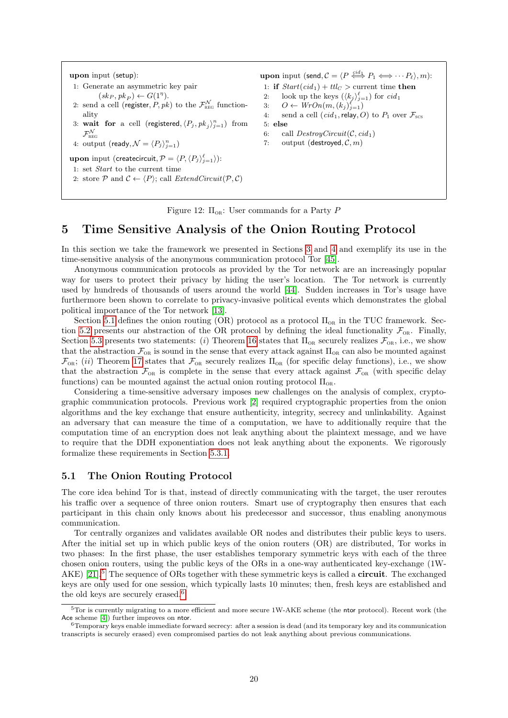<span id="page-19-4"></span>upon input (setup): 1: Generate an asymmetric key pair  $(sk_P, pk_P \rangle \leftarrow G(1^{\eta}).$ 2: send a cell (register,  $P, pk$ ) to the  $\mathcal{F}^{\mathcal{N}}_{\text{\tiny REG}}$  functionality 3: wait for a cell (registered,  $\langle P_j , p k_j \rangle_{j=1}^n$ ) from  $\mathcal{F}^{\mathcal{N}}_{\text{\tiny REG}}$ 4: output (ready,  $\mathcal{N} = \langle P_j \rangle_{j=1}^n$ ) upon input (createcircuit,  $\mathcal{P} = \langle P,\langle P_j\rangle_{j=1}^{\ell}\rangle)$ : 1: set Start to the current time 2: store  $P$  and  $C \leftarrow \langle P \rangle$ ; call *ExtendCircuit*( $P, C$ ) **upon** input  $(\mathsf{send}, \mathcal{C} = \langle P \stackrel{\text{cid}_1}{\iff} P_1 \Longleftrightarrow \cdots P_\ell \rangle, m)$ : 1: if  $Start(cid_1) + ttlc >$  current time then 2: look up the keys  $(\langle k_j \rangle_{j=1}^{\ell})$  for  $cid_1$ 3:  $O \leftarrow WrOn(m, (k_j)_{j=1}^{\ell})$ 4: send a cell  $(cid_1,$ relay, O) to  $P_1$  over  $\mathcal{F}_{\text{sc}}$ 5: else 6: call  $DestroyCircuit(C, cid_1)$ 7: output (destroyed,  $C, m$ )

Figure 12:  $\Pi_{OR}$ : User commands for a Party P

# <span id="page-19-0"></span>5 Time Sensitive Analysis of the Onion Routing Protocol

In this section we take the framework we presented in Sections [3](#page-3-0) and [4](#page-14-0) and exemplify its use in the time-sensitive analysis of the anonymous communication protocol Tor [\[45\]](#page-37-0).

Anonymous communication protocols as provided by the Tor network are an increasingly popular way for users to protect their privacy by hiding the user's location. The Tor network is currently used by hundreds of thousands of users around the world [\[44\]](#page-37-1). Sudden increases in Tor's usage have furthermore been shown to correlate to privacy-invasive political events which demonstrates the global political importance of the Tor network [\[13\]](#page-35-0).

Section [5.1](#page-19-1) defines the onion routing (OR) protocol as a protocol  $\Pi_{OR}$  in the TUC framework. Sec-tion [5.2](#page-22-1) presents our abstraction of the OR protocol by defining the ideal functionality  $\mathcal{F}_{OR}$ . Finally, Section [5.3](#page-25-0) presents two statements: (i) Theorem [16](#page-29-1) states that  $\Pi_{OR}$  securely realizes  $\mathcal{F}_{OR}$ , i.e., we show that the abstraction  $\mathcal{F}_{OR}$  is sound in the sense that every attack against  $\Pi_{OR}$  can also be mounted against  $\mathcal{F}_{OR}$ ; (ii) Theorem [17](#page-30-1) states that  $\mathcal{F}_{OR}$  securely realizes  $\Pi_{OR}$  (for specific delay functions), i.e., we show that the abstraction  $\mathcal{F}_{OR}$  is complete in the sense that every attack against  $\mathcal{F}_{OR}$  (with specific delay functions) can be mounted against the actual onion routing protocol  $\Pi_{OR}$ .

Considering a time-sensitive adversary imposes new challenges on the analysis of complex, cryptographic communication protocols. Previous work [\[2\]](#page-35-3) required cryptographic properties from the onion algorithms and the key exchange that ensure authenticity, integrity, secrecy and unlinkability. Against an adversary that can measure the time of a computation, we have to additionally require that the computation time of an encryption does not leak anything about the plaintext message, and we have to require that the DDH exponentiation does not leak anything about the exponents. We rigorously formalize these requirements in Section [5.3.1.](#page-25-1)

### <span id="page-19-1"></span>5.1 The Onion Routing Protocol

The core idea behind Tor is that, instead of directly communicating with the target, the user reroutes his traffic over a sequence of three onion routers. Smart use of cryptography then ensures that each participant in this chain only knows about his predecessor and successor, thus enabling anonymous communication.

Tor centrally organizes and validates available OR nodes and distributes their public keys to users. After the initial set up in which public keys of the onion routers (OR) are distributed, Tor works in two phases: In the first phase, the user establishes temporary symmetric keys with each of the three chosen onion routers, using the public keys of the ORs in a one-way authenticated key-exchange (1W-AKE) [\[21\]](#page-36-17).<sup>[5](#page-19-2)</sup> The sequence of ORs together with these symmetric keys is called a **circuit**. The exchanged keys are only used for one session, which typically lasts 10 minutes; then, fresh keys are established and the old keys are securely erased.<sup>[6](#page-19-3)</sup>

<span id="page-19-2"></span><sup>5</sup>Tor is currently migrating to a more efficient and more secure 1W-AKE scheme (the ntor protocol). Recent work (the Ace scheme [\[4\]](#page-35-16)) further improves on ntor.

<span id="page-19-3"></span><sup>&</sup>lt;sup>6</sup>Temporary keys enable immediate forward secrecy: after a session is dead (and its temporary key and its communication transcripts is securely erased) even compromised parties do not leak anything about previous communications.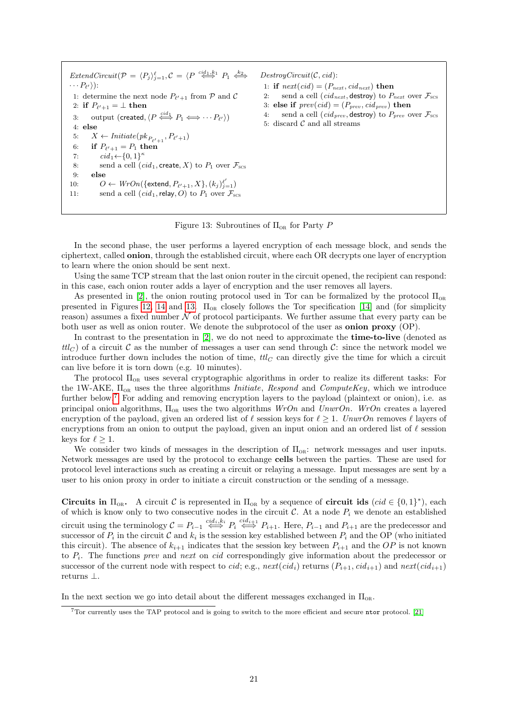<span id="page-20-0"></span> $ExtendCircuit(P = \langle P_j \rangle_{j=1}^{\ell}, C = \langle P \stackrel{cid_1, k_1}{\iff} P_1 \stackrel{k_2}{\iff}$  $\cdots P_{\ell'}\rangle)$  : 1: determine the next node  $P_{\ell'+1}$  from  $P$  and  $C$ 2: if  $P_{\ell'+1} = \perp$  then 3: output (created,  $\langle P \stackrel{cid_1}{\Longleftrightarrow} P_1 \Longleftrightarrow \cdots P_{\ell'} \rangle)$ 4: else 5:  $X \leftarrow \text{Initiate}(pk_{P_{\ell'+1}}, P_{\ell'+1})$ 6: if  $P_{\ell'+1} = P_1$  then 7:  $cid_1 \leftarrow \{0, 1\}^{\kappa}$ 8: send a cell  $(cid_1, \text{create}, X)$  to  $P_1$  over  $\mathcal{F}_{\text{sc}}$ 9: else 10:  $O \leftarrow \text{WrOn}(\{\text{extend}, P_{\ell'+1}, X\}, (k_j)_{j=1}^{\ell'})$ 11: send a cell  $(cid_1,$ relay, O) to  $P_1$  over  $\mathcal{F}_{\text{sc}}$ 

 $DestroyCircuit(C, cid):$ 1: if  $next(cid) = (P_{next}, cid_{next})$  then 2: send a cell (*cid<sub>next</sub>*, destroy) to  $P_{next}$  over  $\mathcal{F}_{scs}$ 3: else if  $prev(cid) = (P_{prev}, cid_{prev})$  then 4: send a cell (*cid<sub>prev*</sub>, destroy) to  $P_{prev}$  over  $\mathcal{F}_{SCS}$ 5: discard  $C$  and all streams

Figure 13: Subroutines of  $\Pi_{OR}$  for Party P

In the second phase, the user performs a layered encryption of each message block, and sends the ciphertext, called onion, through the established circuit, where each OR decrypts one layer of encryption to learn where the onion should be sent next.

Using the same TCP stream that the last onion router in the circuit opened, the recipient can respond: in this case, each onion router adds a layer of encryption and the user removes all layers.

As presented in [\[2\]](#page-35-3), the onion routing protocol used in Tor can be formalized by the protocol  $\Pi_{\alpha}$ presented in Figures [12,](#page-19-4) [14](#page-21-1) and [13.](#page-20-0)  $\Pi_{OR}$  closely follows the Tor specification [\[14\]](#page-35-17) and (for simplicity reason) assumes a fixed number  $N$  of protocol participants. We further assume that every party can be both user as well as onion router. We denote the subprotocol of the user as **onion proxy** (OP).

In contrast to the presentation in  $[2]$ , we do not need to approximate the **time-to-live** (denoted as  $ttl_C$ ) of a circuit C as the number of messages a user can send through C: since the network model we introduce further down includes the notion of time,  $ttl<sub>C</sub>$  can directly give the time for which a circuit can live before it is torn down (e.g. 10 minutes).

The protocol  $\Pi_{OR}$  uses several cryptographic algorithms in order to realize its different tasks: For the 1W-AKE,  $\Pi_{OR}$  uses the three algorithms *Initiate, Respond* and *ComputeKey*, which we introduce further below.<sup>[7](#page-20-1)</sup> For adding and removing encryption layers to the payload (plaintext or onion), i.e. as principal onion algorithms,  $\Pi_{OR}$  uses the two algorithms  $WrOn$  and  $UnwrOn$ . WrOn creates a layered encryption of the payload, given an ordered list of  $\ell$  session keys for  $\ell \geq 1$ . UnwrOn removes  $\ell$  layers of encryptions from an onion to output the payload, given an input onion and an ordered list of  $\ell$  session keys for  $\ell \geq 1$ .

We consider two kinds of messages in the description of  $\Pi_{OR}$ : network messages and user inputs. Network messages are used by the protocol to exchange cells between the parties. These are used for protocol level interactions such as creating a circuit or relaying a message. Input messages are sent by a user to his onion proxy in order to initiate a circuit construction or the sending of a message.

**Circuits in**  $\Pi_{OR}$ . A circuit  $C$  is represented in  $\Pi_{OR}$  by a sequence of **circuit ids** (cid  $\in \{0,1\}^*$ ), each of which is know only to two consecutive nodes in the circuit  $\mathcal{C}$ . At a node  $P_i$  we denote an established circuit using the terminology  $C = P_{i-1} \iff P_i \iff P_{i+1}$ . Here,  $P_{i-1}$  and  $P_{i+1}$  are the predecessor and successor of  $P_i$  in the circuit  $C$  and  $k_i$  is the session key established between  $P_i$  and the OP (who initiated this circuit). The absence of  $k_{i+1}$  indicates that the session key between  $P_{i+1}$  and the OP is not known to  $P_i$ . The functions *prev* and *next* on *cid* correspondingly give information about the predecessor or successor of the current node with respect to *cid*; e.g.,  $next(cid_i)$  returns  $(P_{i+1}, cid_{i+1})$  and  $next(cid_{i+1})$ returns ⊥.

In the next section we go into detail about the different messages exchanged in  $\Pi_{OR}$ .

<span id="page-20-1"></span> $7$ Tor currently uses the TAP protocol and is going to switch to the more efficient and secure ntor protocol. [\[21\]](#page-36-17)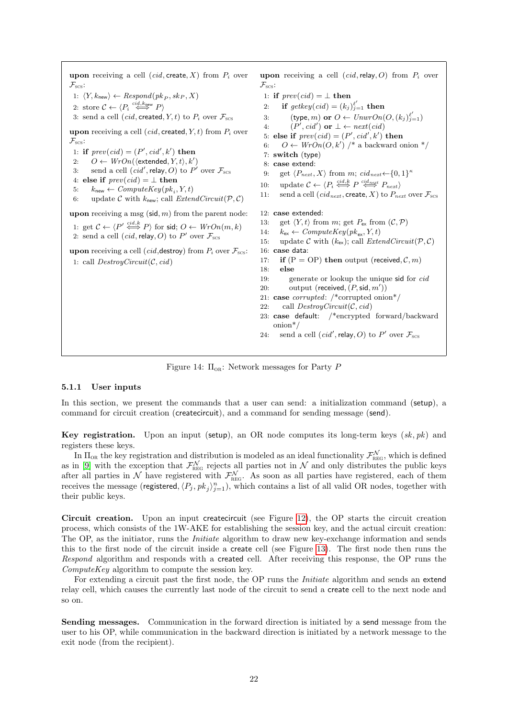<span id="page-21-1"></span>upon receiving a cell  $(cid, create, X)$  from  $P_i$  over  $\mathcal{F}_{\text{scs}}$ : 1:  $\langle Y, k_{\text{new}} \rangle \leftarrow Respond(pk_P, sk_P, X)$ 2: store  $C \leftarrow \langle P_i \stackrel{cid, k_{\text{new}}}{\iff} P \rangle$ 3: send a cell  $(cid, \text{created}, Y, t)$  to  $P_i$  over  $\mathcal{F}_{\text{scs}}$ upon receiving a cell (*cid*, created,  $Y$ ,  $t$ ) from  $P_i$  over  $\mathcal{F}_{\text{scs}}$ : 1: if  $prev(cid) = (P', cid', k')$  then 2:  $O \leftarrow WrOn(\langle \text{extended}, Y, t \rangle, k')$ 3: send a cell  $(cid', \text{relay}, O)$  to  $P'$  over  $\mathcal{F}_{\text{scs}}$ 4: else if  $prev(cid) = \perp$  then 5:  $k_{\text{new}} \leftarrow ComputeKey(pk_i, Y, t)$ 6: update C with  $k_{\text{new}}$ ; call  $ExtendCircuit(\mathcal{P}, \mathcal{C})$ upon receiving a msg  $(\text{sid}, m)$  from the parent node: 1: get  $\mathcal{C} \leftarrow \langle P' \stackrel{cid, k}{\iff} P \rangle$  for sid;  $O \leftarrow WrOn(m, k)$ 2: send a cell  $(cid,$  relay, O) to P' over  $\mathcal{F}_{\text{scs}}$ upon receiving a cell (*cid*, destroy) from  $P_i$  over  $\mathcal{F}_{\text{scs}}$ : 1: call  $DestroyCircuit(C, cid)$ upon receiving a cell  $(cid,$ relay, O) from  $P_i$  over  $\mathcal{F}_{\text{scs}}$ : 1: if  $prev(cid) = \perp$  then 2: if  $getkey(cid) = (k_j)_{j=1}^{\ell'}$  then 3: (type, *m*) or  $O \leftarrow UnwrOn(O, (k_j)_{j=1}^{\ell'})$ 4:  $(P', cid') \text{ or } \bot \leftarrow next(cid)$ 5: else if  $prev(cid) = (P', cid', k')$  then 6:  $O \leftarrow WrOn(O, k')$  /\* a backward onion \*/ 7: switch (type) 8: case extend: 9: get  $\langle P_{next}, X \rangle$  from m; cid<sub>next</sub>  $\left\{-\{0, 1\}\right\}^{\kappa}$ 10: update  $C \leftarrow \langle P_i \stackrel{cid,k}{\iff} P \stackrel{cid_{next}}{\iff} P_{next} \rangle$ 11: send a cell (cid<sub>next</sub>, create, X) to  $P_{next}$  over  $\mathcal{F}_{scs}$ 12: case extended: 13: get  $\langle Y, t \rangle$  from m; get  $P_{ex}$  from  $(C, \mathcal{P})$ 14:  $k_{\text{ex}} \leftarrow ComputeKey(pk_{\text{ex}}, Y, t)$ 15: update C with  $(k_{\text{ex}})$ ; call *ExtendCircuit*( $P, C$ ) 16: case data: 17: if  $(P = OP)$  then output (received,  $C, m$ ) 18: else 19: generate or lookup the unique sid for cid 20: output (received,  $(P, \text{sid}, m'))$ 21: case corrupted: /\*corrupted onion\*/ 22: call  $DestrouCircuit(C, cid)$ 23: case default: /\*encrypted forward/backward onion\*/ 24: send a cell  $(cid', \text{relay}, O)$  to P' over  $\mathcal{F}_{\text{SCS}}$ 

Figure 14:  $\Pi_{OR}$ : Network messages for Party P

### <span id="page-21-0"></span>5.1.1 User inputs

In this section, we present the commands that a user can send: a initialization command (setup), a command for circuit creation (createcircuit), and a command for sending message (send).

Key registration. Upon an input (setup), an OR node computes its long-term keys  $(sk, pk)$  and registers these keys.

In  $\Pi_{OR}$  the key registration and distribution is modeled as an ideal functionality  $\mathcal{F}_{REG}^N$ , which is defined as in [\[9\]](#page-35-6) with the exception that  $\mathcal{F}_{\text{REG}}^N$  rejects all parties not in N and only distributes the public keys after all parties in N have registered with  $\mathcal{F}_{\text{REG}}^N$ . As soon as all parties have registered, each of them receives the message (registered,  $\langle P_j , p k_j \rangle_{j=1}^n$ ), which contains a list of all valid OR nodes, together with their public keys.

Circuit creation. Upon an input createcircuit (see Figure [12\)](#page-19-4), the OP starts the circuit creation process, which consists of the 1W-AKE for establishing the session key, and the actual circuit creation: The OP, as the initiator, runs the *Initiate* algorithm to draw new key-exchange information and sends this to the first node of the circuit inside a create cell (see Figure [13\)](#page-20-0). The first node then runs the Respond algorithm and responds with a created cell. After receiving this response, the OP runs the ComputeKey algorithm to compute the session key.

For extending a circuit past the first node, the OP runs the *Initiate* algorithm and sends an extend relay cell, which causes the currently last node of the circuit to send a create cell to the next node and so on.

Sending messages. Communication in the forward direction is initiated by a send message from the user to his OP, while communication in the backward direction is initiated by a network message to the exit node (from the recipient).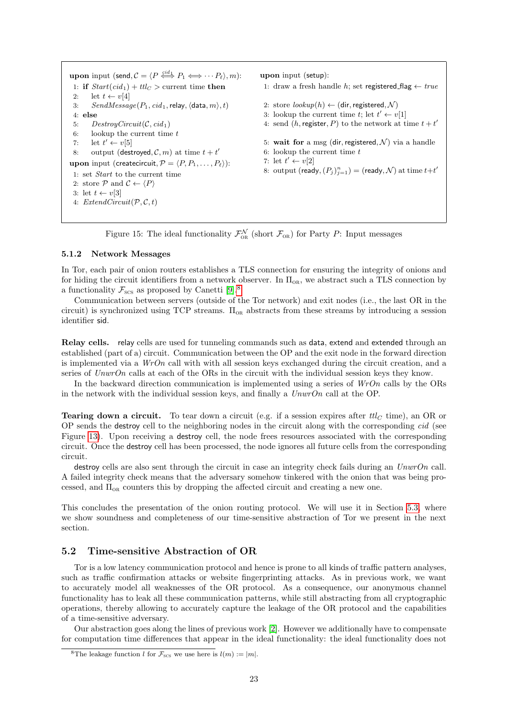```
upon input (send, \mathcal{C} = \langle P \stackrel{\text{c}id_1}{\iff} P_1 \Longleftrightarrow \cdots P_\ell \rangle, m):
1: if Start(cid_1) + ttlc > current time then
2: let t \leftarrow v[4]3: SendMessage(P_1, cid_1, relay, \langle data, m \rangle, t)4: else
5: DestroyCircuit(\mathcal{C}, cid_1)6: lookup the current time t7: let t' \leftarrow v[5]8: output (destroyed, C, m) at time t + t'upon input (createcircuit, \mathcal{P} = \langle P, P_1, \ldots, P_\ell \rangle):
1: set Start to the current time
2: store P and C \leftarrow \langle P \rangle3: let t \leftarrow v[3]4: ExtendCircuit(P, C, t)upon input (setup):
                                                                         1: draw a fresh handle h; set registered_flag ← true
                                                                         2: store lookup(h) \leftarrow (dir, registered, \mathcal{N})3: lookup the current time t; let t' \leftarrow v[1]4: send (h, \text{register}, P) to the network at time t + t'5: wait for a msg (dir, registered, \mathcal{N}) via a handle
                                                                         6: lookup the current time t7: let t' \leftarrow v[2]8: output (ready, (P_j)_{j=1}^n) = (ready, N) at time t+t'
```
Figure 15: The ideal functionality  $\mathcal{F}_{OR}^{N}$  (short  $\mathcal{F}_{OR}$ ) for Party P: Input messages

### <span id="page-22-0"></span>5.1.2 Network Messages

In Tor, each pair of onion routers establishes a TLS connection for ensuring the integrity of onions and for hiding the circuit identifiers from a network observer. In  $\Pi_{OR}$ , we abstract such a TLS connection by a functionality  $\mathcal{F}_{\text{SCS}}$  as proposed by Canetti [\[9\]](#page-35-6).<sup>[8](#page-22-2)</sup>

Communication between servers (outside of the Tor network) and exit nodes (i.e., the last OR in the circuit) is synchronized using TCP streams.  $\Pi_{OR}$  abstracts from these streams by introducing a session identifier sid.

Relay cells. relay cells are used for tunneling commands such as data, extend and extended through an established (part of a) circuit. Communication between the OP and the exit node in the forward direction is implemented via a  $WrOn$  call with with all session keys exchanged during the circuit creation, and a series of UnwrOn calls at each of the ORs in the circuit with the individual session keys they know.

In the backward direction communication is implemented using a series of  $WrOn$  calls by the ORs in the network with the individual session keys, and finally a  $UnwrOn$  call at the OP.

**Tearing down a circuit.** To tear down a circuit (e.g. if a session expires after  $tl_C$  time), an OR or OP sends the destroy cell to the neighboring nodes in the circuit along with the corresponding cid (see Figure [13\)](#page-20-0). Upon receiving a destroy cell, the node frees resources associated with the corresponding circuit. Once the destroy cell has been processed, the node ignores all future cells from the corresponding circuit.

destroy cells are also sent through the circuit in case an integrity check fails during an UnwrOn call. A failed integrity check means that the adversary somehow tinkered with the onion that was being processed, and  $\Pi_{OR}$  counters this by dropping the affected circuit and creating a new one.

This concludes the presentation of the onion routing protocol. We will use it in Section [5.3,](#page-25-0) where we show soundness and completeness of our time-sensitive abstraction of Tor we present in the next section.

### <span id="page-22-1"></span>5.2 Time-sensitive Abstraction of OR

Tor is a low latency communication protocol and hence is prone to all kinds of traffic pattern analyses, such as traffic confirmation attacks or website fingerprinting attacks. As in previous work, we want to accurately model all weaknesses of the OR protocol. As a consequence, our anonymous channel functionality has to leak all these communication patterns, while still abstracting from all cryptographic operations, thereby allowing to accurately capture the leakage of the OR protocol and the capabilities of a time-sensitive adversary.

Our abstraction goes along the lines of previous work [\[2\]](#page-35-3). However we additionally have to compensate for computation time differences that appear in the ideal functionality: the ideal functionality does not

<span id="page-22-2"></span><sup>&</sup>lt;sup>8</sup>The leakage function *l* for  $\mathcal{F}_{SCS}$  we use here is  $l(m) := |m|$ .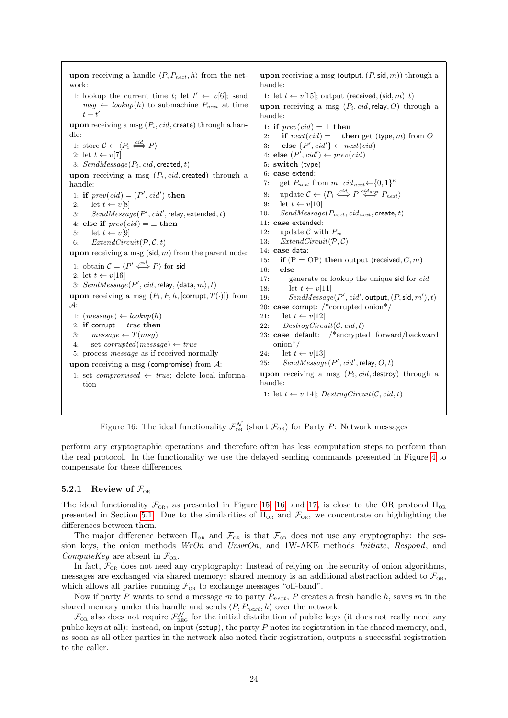<span id="page-23-1"></span>upon receiving a handle  $\langle P, P_{next}, h \rangle$  from the network: 1: lookup the current time t; let  $t' \leftarrow v[6]$ ; send  $msg \leftarrow lookup(h)$  to submachine  $P_{next}$  at time  $t+t'$ upon receiving a msg  $(P_i, cid, \text{create})$  through a handle: 1: store  $C \leftarrow \langle P_i \stackrel{cid}{\iff} P \rangle$ 2: let  $t \leftarrow v[7]$ 3:  $SendMessage(P_i, cid, created, t)$ upon receiving a msg  $(P_i, cid, \text{created})$  through a handle: 1: if  $prev(cid) = (P', cid')$  then 2: let  $t \leftarrow v[8]$ 3:  $SendMessage(P',cid', relay, extended, t)$ 4: else if  $prev(cid) = \perp$  then 5: let  $t \leftarrow v[9]$ 6: ExtendCircuit $(P, C, t)$ upon receiving a msg  $(\text{sid}, m)$  from the parent node: 1: obtain  $\mathcal{C} = \langle P' \stackrel{cid}{\iff} P \rangle$  for sid 2: let  $t \leftarrow v[16]$ 3:  $SendMessage(P',cid, relay,\langle data, m\rangle, t)$ upon receiving a msg  $(P_i, P, h, \text{[corrupt}, T(\cdot)])$  from  $\mathcal{A}$ : 1:  $(message) \leftarrow lookup(h)$ 2: if corrupt  $= true$  then 3:  $message \leftarrow T(msg)$ 4: set *corrupted*(*message*)  $\leftarrow$  *true* 5: process message as if received normally upon receiving a msg (compromise) from  $A$ : 1: set *compromised*  $\leftarrow$  *true*; delete local information upon receiving a msg (output,  $(P, \text{sid}, m)$ ) through a handle: 1: let  $t \leftarrow v[15]$ ; output (received, (sid, m), t) upon receiving a msg  $(P_i, cid,$ relay, O) through a handle: 1: if  $prev(cid) = \perp$  then 2: if  $next(cid) = \perp$  then get (type, *m*) from O 3: else  $\{P', cid'\} \leftarrow next(cid)$ 4: else  $(P', cid') \leftarrow prev(cid)$ 5: switch (type) 6: case extend: 7: get  $P_{\text{next}}$  from  $m$ ;  $cid_{\text{next}} \leftarrow \{0, 1\}^{\kappa}$ 8: update  $C \leftarrow \langle P_i \stackrel{cid}{\iff} P \stackrel{cid_{next}}{\iff} P_{next} \rangle$ 9: let  $t \leftarrow v[10]$ 10:  $SendMessage(P_{next}, cid_{next}, \text{create}, t)$ 11: case extended: 12: update  $\mathcal C$  with  $P_{\rm ex}$ 13:  $ExtendCircuit(P, C)$ 14: case data: 15: if  $(P = OP)$  then output (received,  $C, m$ ) 16: else 17: generate or lookup the unique sid for cid 18: let  $t \leftarrow v[11]$ 19:  $SendMessage(P', cid', \text{output}, (P, \text{sid}, m'), t)$ 20: case corrupt: /\*corrupted onion\*/ 21: let  $t \leftarrow v[12]$ 22: DestroyCircuit( $C, cid, t$ ) 23: case default: /\*encrypted forward/backward onion\*/ 24: let  $t \leftarrow v[13]$ 25:  $SendMessage(P', cid', relay, O, t)$ upon receiving a msg  $(P_i, cid,$  destroy) through a handle: 1: let  $t \leftarrow v[14]$ ; DestroyCircuit(C, cid, t)

Figure 16: The ideal functionality  $\mathcal{F}_{OR}^{N}$  (short  $\mathcal{F}_{OR}$ ) for Party P: Network messages

perform any cryptographic operations and therefore often has less computation steps to perform than the real protocol. In the functionality we use the delayed sending commands presented in Figure [4](#page-7-1) to compensate for these differences.

### <span id="page-23-0"></span>5.2.1 Review of  $\mathcal{F}_{\text{OR}}$

The ideal functionality  $\mathcal{F}_{OR}$ , as presented in Figure [15,](#page-22-3) [16,](#page-23-1) and [17,](#page-24-1) is close to the OR protocol  $\Pi_{OR}$ presented in Section [5.1.](#page-19-1) Due to the similarities of  $\Pi_{OR}$  and  $\mathcal{F}_{OR}$ , we concentrate on highlighting the differences between them.

The major difference between  $\Pi_{OR}$  and  $\mathcal{F}_{OR}$  is that  $\mathcal{F}_{OR}$  does not use any cryptography: the session keys, the onion methods  $WrOn$  and  $UnwrOn$ , and  $1W-AKE$  methods *Initiate*, Respond, and ComputeKey are absent in  $\mathcal{F}_{OR}$ .

In fact,  $\mathcal{F}_{OR}$  does not need any cryptography: Instead of relying on the security of onion algorithms, messages are exchanged via shared memory: shared memory is an additional abstraction added to  $\mathcal{F}_{OR}$ , which allows all parties running  $\mathcal{F}_{OR}$  to exchange messages "off-band".

Now if party P wants to send a message m to party  $P_{next}$ , P creates a fresh handle h, saves m in the shared memory under this handle and sends  $\langle P, P_{next}, h \rangle$  over the network.

 $\mathcal{F}_{OR}$  also does not require  $\mathcal{F}_{REG}^{N}$  for the initial distribution of public keys (it does not really need any public keys at all): instead, on input (setup), the party  $P$  notes its registration in the shared memory, and, as soon as all other parties in the network also noted their registration, outputs a successful registration to the caller.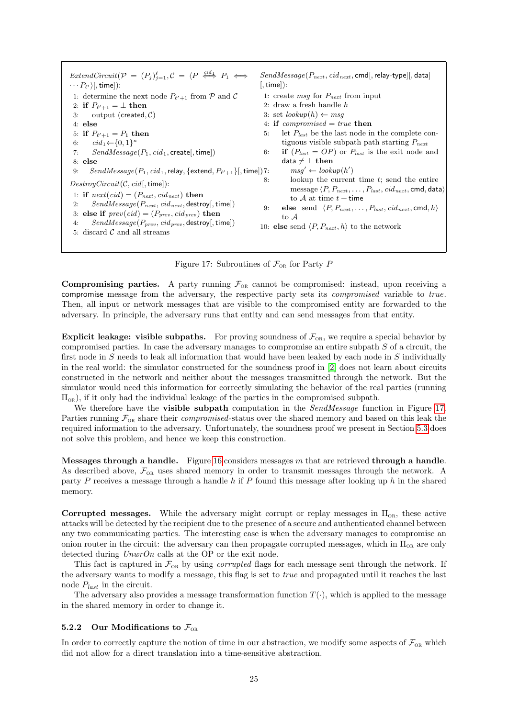<span id="page-24-1"></span> $ExtendCircuit(P = (P_j)_{j=1}^{\ell}, C = \langle P \stackrel{cid_1}{\iff} P_1 \iff$  $\cdots P_{\ell'}\rangle[$ , time]): 1: determine the next node  $P_{\ell'+1}$  from  $P$  and  $C$ 2: if  $P_{\ell'+1} = \perp$  then 3: output (created,  $C$ ) 4: else 5: if  $P_{\ell'+1} = P_1$  then 6:  $cid_1 \leftarrow \{0, 1\}^{\kappa}$ 7:  $SendMessage(P_1, cid_1, create[, time])$ 8: else 9:  $SendMessage(P_1, cid_1,$ relay, {extend,  $P_{\ell'+1}\}$ [, time])  $DestroyCircuit(C, cid[, time]):$ 1: if  $next(cid) = (P_{next}, cid_{next})$  then 2:  $SendMessage(P_{next}, cid_{next}, \text{destroy}[, \text{time}])$ 3: else if  $prev(cid) = (P_{prev}, cid_{prev})$  then 4:  $SendMessage(P_{prev}, cid_{prev}, destroy[, time])$ 5: discard  $C$  and all streams  $SendMessage(P_{next}, cid_{next}, \text{cmd}, \text{relay-type}[[, \text{data}]]$  $[$ . time $]$ ): 1: create msg for  $P_{next}$  from input 2: draw a fresh handle  $h$ 3: set  $lookup(h) \leftarrow msg$ 4: if *compromised*  $= true$  then 5: let  $P_{last}$  be the last node in the complete contiguous visible subpath path starting  $P_{next}$ 6: **if**  $(P_{last} = OP)$  or  $P_{last}$  is the exit node and data  $\neq \bot$  then 7:  $msg' \leftarrow lookup(h')$ lookup the current time  $t$ ; send the entire message  $\langle P, P_{next}, \ldots, P_{last}, cid_{next}$ , cmd, data $\rangle$ to  $A$  at time  $t +$  time 9: else send  $\langle P, P_{next}, \ldots, P_{last}, cid_{next}, \text{cmd}, h \rangle$ to A 10: **else** send  $\langle P, P_{next}, h \rangle$  to the network

Figure 17: Subroutines of  $\mathcal{F}_{OR}$  for Party P

**Compromising parties.** A party running  $\mathcal{F}_{OR}$  cannot be compromised: instead, upon receiving a compromise message from the adversary, the respective party sets its compromised variable to true. Then, all input or network messages that are visible to the compromised entity are forwarded to the adversary. In principle, the adversary runs that entity and can send messages from that entity.

**Explicit leakage: visible subpaths.** For proving soundness of  $\mathcal{F}_{OR}$ , we require a special behavior by compromised parties. In case the adversary manages to compromise an entire subpath S of a circuit, the first node in  $S$  needs to leak all information that would have been leaked by each node in  $S$  individually in the real world: the simulator constructed for the soundness proof in [\[2\]](#page-35-3) does not learn about circuits constructed in the network and neither about the messages transmitted through the network. But the simulator would need this information for correctly simulating the behavior of the real parties (running  $\Pi_{OR}$ ), if it only had the individual leakage of the parties in the compromised subpath.

We therefore have the **visible subpath** computation in the *SendMessage* function in Figure [17.](#page-24-1) Parties running  $\mathcal{F}_{OR}$  share their *compromised*-status over the shared memory and based on this leak the required information to the adversary. Unfortunately, the soundness proof we present in Section [5.3](#page-25-0) does not solve this problem, and hence we keep this construction.

Messages through a handle. Figure [16](#page-23-1) considers messages  $m$  that are retrieved through a handle. As described above,  $\mathcal{F}_{OR}$  uses shared memory in order to transmit messages through the network. A party  $P$  receives a message through a handle  $h$  if  $P$  found this message after looking up  $h$  in the shared memory.

Corrupted messages. While the adversary might corrupt or replay messages in  $\Pi_{OR}$ , these active attacks will be detected by the recipient due to the presence of a secure and authenticated channel between any two communicating parties. The interesting case is when the adversary manages to compromise an onion router in the circuit: the adversary can then propagate corrupted messages, which in  $\Pi_{OR}$  are only detected during  $UnwrOn$  calls at the OP or the exit node.

This fact is captured in  $\mathcal{F}_{OR}$  by using *corrupted* flags for each message sent through the network. If the adversary wants to modify a message, this flag is set to true and propagated until it reaches the last node  $P_{last}$  in the circuit.

The adversary also provides a message transformation function  $T(\cdot)$ , which is applied to the message in the shared memory in order to change it.

### <span id="page-24-0"></span>5.2.2 Our Modifications to  $\mathcal{F}_{OR}$

In order to correctly capture the notion of time in our abstraction, we modify some aspects of  $\mathcal{F}_{OR}$  which did not allow for a direct translation into a time-sensitive abstraction.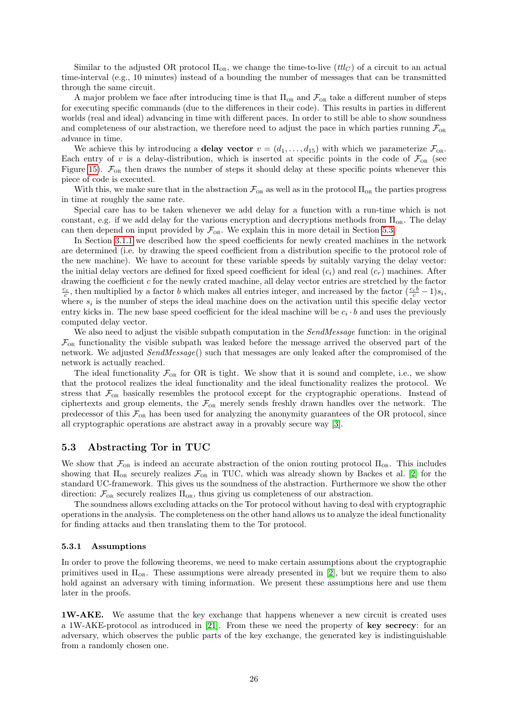Similar to the adjusted OR protocol  $\Pi_{OR}$ , we change the time-to-live (ttl<sub>C</sub>) of a circuit to an actual time-interval (e.g., 10 minutes) instead of a bounding the number of messages that can be transmitted through the same circuit.

A major problem we face after introducing time is that  $\Pi_{OR}$  and  $\mathcal{F}_{OR}$  take a different number of steps for executing specific commands (due to the differences in their code). This results in parties in different worlds (real and ideal) advancing in time with different paces. In order to still be able to show soundness and completeness of our abstraction, we therefore need to adjust the pace in which parties running  $\mathcal{F}_{OR}$ advance in time.

We achieve this by introducing a **delay vector**  $v = (d_1, \ldots, d_{15})$  with which we parameterize  $\mathcal{F}_{OR}$ . Each entry of v is a delay-distribution, which is inserted at specific points in the code of  $\mathcal{F}_{OR}$  (see Figure [15\)](#page-22-3).  $\mathcal{F}_{OR}$  then draws the number of steps it should delay at these specific points whenever this piece of code is executed.

With this, we make sure that in the abstraction  $\mathcal{F}_{OR}$  as well as in the protocol  $\Pi_{OR}$  the parties progress in time at roughly the same rate.

Special care has to be taken whenever we add delay for a function with a run-time which is not constant, e.g. if we add delay for the various encryption and decryptions methods from  $\Pi_{OR}$ . The delay can then depend on input provided by  $\mathcal{F}_{OR}$ . We explain this in more detail in Section [5.3.](#page-25-0)

In Section [3.1.1](#page-4-1) we described how the speed coefficients for newly created machines in the network are determined (i.e. by drawing the speed coefficient from a distribution specific to the protocol role of the new machine). We have to account for these variable speeds by suitably varying the delay vector: the initial delay vectors are defined for fixed speed coefficient for ideal  $(c_i)$  and real  $(c_r)$  machines. After drawing the coefficient c for the newly crated machine, all delay vector entries are stretched by the factor  $\frac{c_r}{c}$ , then multiplied by a factor b which makes all entries integer, and increased by the factor  $(\frac{c_r b}{c} - 1)s_i$ , where  $s_i$  is the number of steps the ideal machine does on the activation until this specific delay vector entry kicks in. The new base speed coefficient for the ideal machine will be  $c_i \cdot b$  and uses the previously computed delay vector.

We also need to adjust the visible subpath computation in the *SendMessage* function: in the original  $\mathcal{F}_{OR}$  functionality the visible subpath was leaked before the message arrived the observed part of the network. We adjusted SendMessage() such that messages are only leaked after the compromised of the network is actually reached.

The ideal functionality  $\mathcal{F}_{OR}$  for OR is tight. We show that it is sound and complete, i.e., we show that the protocol realizes the ideal functionality and the ideal functionality realizes the protocol. We stress that  $\mathcal{F}_{OR}$  basically resembles the protocol except for the cryptographic operations. Instead of ciphertexts and group elements, the  $\mathcal{F}_{OR}$  merely sends freshly drawn handles over the network. The predecessor of this  $\mathcal{F}_{OR}$  has been used for analyzing the anonymity guarantees of the OR protocol, since all cryptographic operations are abstract away in a provably secure way [\[3\]](#page-35-14).

### <span id="page-25-0"></span>5.3 Abstracting Tor in TUC

We show that  $\mathcal{F}_{OR}$  is indeed an accurate abstraction of the onion routing protocol  $\Pi_{OR}$ . This includes showing that  $\Pi_{OR}$  securely realizes  $\mathcal{F}_{OR}$  in TUC, which was already shown by Backes et al. [\[2\]](#page-35-3) for the standard UC-framework. This gives us the soundness of the abstraction. Furthermore we show the other direction:  $\mathcal{F}_{OR}$  securely realizes  $\Pi_{OR}$ , thus giving us completeness of our abstraction.

The soundness allows excluding attacks on the Tor protocol without having to deal with cryptographic operations in the analysis. The completeness on the other hand allows us to analyze the ideal functionality for finding attacks and then translating them to the Tor protocol.

### <span id="page-25-1"></span>5.3.1 Assumptions

In order to prove the following theorems, we need to make certain assumptions about the cryptographic primitives used in  $\Pi_{OR}$ . These assumptions were already presented in [\[2\]](#page-35-3), but we require them to also hold against an adversary with timing information. We present these assumptions here and use them later in the proofs.

1W-AKE. We assume that the key exchange that happens whenever a new circuit is created uses a 1W-AKE-protocol as introduced in [\[21\]](#page-36-17). From these we need the property of key secrecy: for an adversary, which observes the public parts of the key exchange, the generated key is indistinguishable from a randomly chosen one.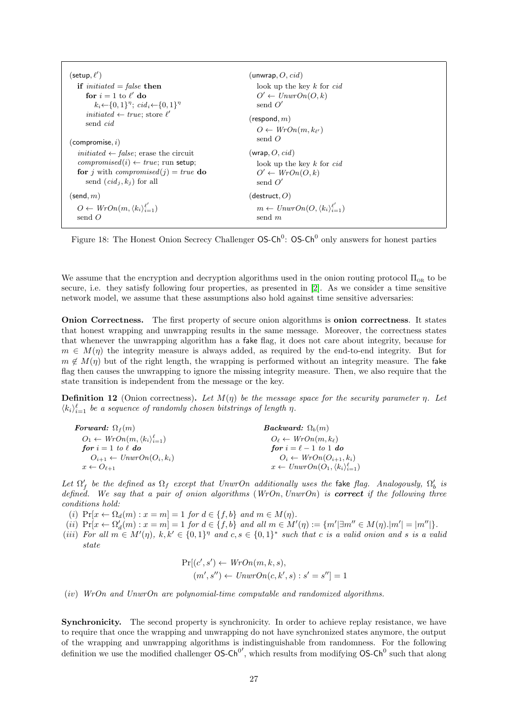<span id="page-26-0"></span>

| (setup, $\ell'$ )                                                                | (unwrap, $O$ , $cid$ )                                       |
|----------------------------------------------------------------------------------|--------------------------------------------------------------|
| if <i>initiated</i> = <i>false</i> then                                          | look up the key $k$ for $cid$                                |
| for $i = 1$ to $\ell'$ do                                                        | $O' \leftarrow UnwrOn(O, k)$                                 |
| $k_i \leftarrow \{0,1\}^{\eta}$ ; $cid_i \leftarrow \{0,1\}^{\eta}$              | send $O'$                                                    |
| <i>initiated</i> $\leftarrow true$ ; store $\ell'$                               | (respond, $m$ )                                              |
| send <i>cid</i>                                                                  | $O \leftarrow WrOn(m, k_{\ell'})$                            |
| (compromise, $i)$                                                                | send $O$                                                     |
| <i>initiated</i> $\leftarrow$ <i>false</i> ; erase the circuit                   | (wrap, O, cid)                                               |
| <i>compromised</i> $(i) \leftarrow true$ ; run setup;                            | look up the key $k$ for $cid$                                |
| <b>for</b> <i>j</i> with <i>compromised</i> ( <i>j</i> ) = <i>true</i> <b>do</b> | $O' \leftarrow WrOn(O, k)$                                   |
| send $(cid_i, k_i)$ for all                                                      | send $O'$                                                    |
| (send, $m$ )                                                                     | $(d$ estruct, $O)$                                           |
| $O \leftarrow WrOn(m, \langle k_i \rangle_{i=1}^{\ell'} )$                       | $m \leftarrow UnwrOn(O, \langle k_i \rangle_{i=1}^{\ell'} )$ |
| send $\Omega$                                                                    | send m                                                       |

Figure 18: The Honest Onion Secrecy Challenger  $OS-Ch^0$ : OS-Ch<sup>0</sup> only answers for honest parties

We assume that the encryption and decryption algorithms used in the onion routing protocol  $\Pi_{OR}$  to be secure, i.e. they satisfy following four properties, as presented in [\[2\]](#page-35-3). As we consider a time sensitive network model, we assume that these assumptions also hold against time sensitive adversaries:

Onion Correctness. The first property of secure onion algorithms is onion correctness. It states that honest wrapping and unwrapping results in the same message. Moreover, the correctness states that whenever the unwrapping algorithm has a fake flag, it does not care about integrity, because for  $m \in M(\eta)$  the integrity measure is always added, as required by the end-to-end integrity. But for  $m \notin M(\eta)$  but of the right length, the wrapping is performed without an integrity measure. The fake flag then causes the unwrapping to ignore the missing integrity measure. Then, we also require that the state transition is independent from the message or the key.

**Definition 12** (Onion correctness). Let  $M(\eta)$  be the message space for the security parameter  $\eta$ . Let  $\langle k_i \rangle_{i=1}^{\ell}$  be a sequence of randomly chosen bitstrings of length  $\eta$ .

| <b>Forward:</b> $\Omega_f(m)$                              | <b>Backward:</b> $\Omega_b(m)$                               |  |
|------------------------------------------------------------|--------------------------------------------------------------|--|
| $O_1 \leftarrow WrOn(m, \langle k_i \rangle_{i=1}^{\ell})$ | $O_{\ell} \leftarrow WrOn(m, k_{\ell})$                      |  |
| for $i=1$ to $\ell$ do                                     | for $i = \ell - 1$ to 1 do                                   |  |
| $O_{i+1} \leftarrow UnwrOn(O_i, k_i)$                      | $O_i \leftarrow WrOn(O_{i+1}, k_i)$                          |  |
| $x \leftarrow O_{\ell+1}$                                  | $x \leftarrow UnwrOn(O_1, \langle k_i \rangle_{i=1}^{\ell})$ |  |

Let  $\Omega'_f$  be the defined as  $\Omega_f$  except that UnwrOn additionally uses the fake flag. Analogously,  $\Omega'_b$  is defined. We say that a pair of onion algorithms  $(WrOn, UnwrOn)$  is **correct** if the following three conditions hold:

(i)  $Pr[x \leftarrow \Omega_d(m) : x = m] = 1$  for  $d \in \{f, b\}$  and  $m \in M(\eta)$ .

- $(ii)$   $Pr[x \leftarrow \Omega'_d(m) : x = m] = 1$  for  $d \in \{f, b\}$  and all  $m \in M'(\eta) := \{m' | \exists m'' \in M(\eta) \cdot |m'| = |m''| \}.$
- (iii) For all  $m \in M'(\eta)$ ,  $k, k' \in \{0,1\}^{\eta}$  and  $c, s \in \{0,1\}^*$  such that c is a valid onion and s is a valid state

$$
Pr[(c', s') \leftarrow Wron(m, k, s),
$$

$$
(m', s'') \leftarrow UnwrOn(c, k', s) : s' = s''] = 1
$$

(iv) WrOn and UnwrOn are polynomial-time computable and randomized algorithms.

Synchronicity. The second property is synchronicity. In order to achieve replay resistance, we have to require that once the wrapping and unwrapping do not have synchronized states anymore, the output of the wrapping and unwrapping algorithms is indistinguishable from randomness. For the following definition we use the modified challenger  $OS-Ch^{0'}$ , which results from modifying  $OS-Ch^{0}$  such that along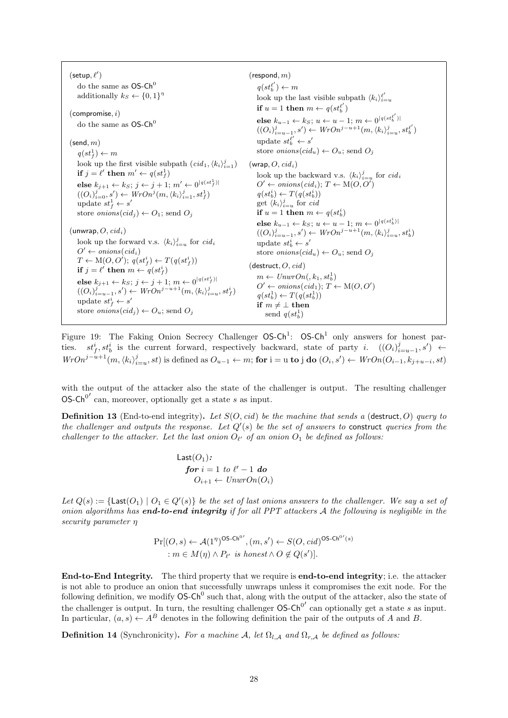<span id="page-27-0"></span> $(\mathsf{setup}, \ell')$ do the same as  $OS-Ch^0$ additionally  $k_S \leftarrow \{0, 1\}^{\eta}$  $(compromise, i)$ do the same as  $OS-Ch<sup>0</sup>$  $(\mathsf{send}, m)$  $q(st_f^1) \leftarrow m$ look up the first visible subpath  $\left(\text{cid}_1, \langle k_i \rangle_{i=1}^j\right)$ if  $j = \ell'$  then  $m' \leftarrow q(st_f^1)$ else  $k_{j+1} \leftarrow k_S; j \leftarrow j+1; m' \leftarrow 0^{\lceil q(st^1_f)\rceil}$  $((O_i)_{i=0}^j, s') \leftarrow WrOn^j(m, \langle k_i \rangle_{i=1}^j, st_f^1)$ update  $st_f^1 \leftarrow s'$ store *onions* $(cid_i) \leftarrow O_1$ ; send  $O_i$  $(unwrap, O, cid<sub>i</sub>)$ look up the forward v.s.  $\langle k_i \rangle_{i=u}^j$  for  $cidi$  $O' \leftarrow \text{onions}(\text{cid}_i)$  $T \leftarrow M(O, O'); q(st_f^i) \leftarrow T(q(st_f^i))$ if  $j = \ell'$  then  $m \leftarrow q(st_f^i)$ else  $k_{j+1} \leftarrow k_S; \, j \leftarrow j+1; \, m \leftarrow 0^{\lceil q (st^i_f)\rceil}$  $((O_i)_{i=u-1}^j, s') \leftarrow WrOn^{j-u+1}(m, \langle k_i \rangle_{i=u}^j, st_f^i)$ update  $st_f^i \leftarrow s'$ store *onions* $(cid_i) \leftarrow O_u$ ; send  $O_i$  $(respond, m)$  $q(st_b^{\ell'}) \leftarrow m$ look up the last visible subpath  $\langle k_i \rangle_{i=u}^{\ell'}$ if  $u = 1$  then  $m \leftarrow q(st_b^{\ell'})$ else  $k_{u-1}$  ←  $k_S$ ;  $u$  ←  $u-1$ ;  $m$  ←  $0^{|q(st_b^{e'})|}$  $((O_i)_{i=u-1}^j, s') \leftarrow WrOn^{j-u+1}(m, \langle k_i \rangle_{i=u}^j, st_0^{\ell'})$ update  $st_b^{\ell'} \leftarrow s'$ store *onions* $(cid_u) \leftarrow O_u$ ; send  $O_j$  $(wrap, O, cid<sub>i</sub>)$ look up the backward v.s.  $\langle k_i \rangle_{i=u}^j$  for  $cid_i$  $O' \leftarrow onions(cid_i); T \leftarrow M(O, O')$  $q(st_b^i) \leftarrow T(q(st_b^i))$ get  $\langle k_i \rangle_{i=u}^j$  for cid if  $u = 1$  then  $m \leftarrow q(st_b^i)$ else  $k_{u-1} \leftarrow k_S$ ;  $u \leftarrow u-1$ ;  $m \leftarrow 0^{|q(st_b^i)|}$  $((O_i)_{i=u-1}^j, s') \leftarrow WrOn^{j-u+1}(m, \langle k_i \rangle_{i=u}^j, st_b^i)$ update  $st_b^i \leftarrow s'$ store *onions* $(cid_u) \leftarrow O_u$ ; send  $O_i$  $(d$ estruct,  $O, cid)$  $m \leftarrow UnwrOn(k_1, st_b^1)$  $O' \leftarrow onions(cid_1); T \leftarrow M(O, O')$  $q(st_b^1) \leftarrow T(q(st_b^1))$ if  $m \neq \bot$  then send  $q(st_b^1)$ 

Figure 19: The Faking Onion Secrecy Challenger  $OS-Ch^1$ :  $OS-Ch^1$  only answers for honest parties.  $st_f^i, st_b^i$  is the current forward, respectively backward, state of party i.  $((O_i)_{i=u-1}^j, s') \leftarrow$  $WrOn^{j-u+1}(m,\langle k_i \rangle_{i=u}^j, st)$  is defined as  $O_{u-1} \leftarrow m$ ; for  $i = u$  to j do  $(O_i, s') \leftarrow WrOn(O_{i-1}, k_{j+u-i}, st)$ 

with the output of the attacker also the state of the challenger is output. The resulting challenger OS-Ch<sup>0'</sup> can, moreover, optionally get a state s as input.

**Definition 13** (End-to-end integrity). Let  $S(O, cid)$  be the machine that sends a (destruct, O) query to the challenger and outputs the response. Let  $Q'(s)$  be the set of answers to construct queries from the challenger to the attacker. Let the last onion  $O_{\ell'}$  of an onion  $O_1$  be defined as follows:

> Last $(O_1)$ :  $\boldsymbol{for} \; i = 1 \; to \; \ell' - 1 \; \boldsymbol{do}$  $O_{i+1} \leftarrow UnwrOn(O_i)$

Let  $Q(s) := \{\textsf{Last}(O_1) \mid O_1 \in Q'(s)\}\$  be the set of last onions answers to the challenger. We say a set of onion algorithms has **end-to-end integrity** if for all PPT attackers  $A$  the following is negligible in the security parameter η

$$
\Pr[(O, s) \leftarrow \mathcal{A}(1^{\eta})^{\text{OS-Ch}^0'}, (m, s') \leftarrow S(O, \text{cid})^{\text{OS-Ch}^0(s)}
$$
  
 
$$
: m \in M(\eta) \land P_{\ell'} \text{ is honest} \land O \notin Q(s')].
$$

End-to-End Integrity. The third property that we require is end-to-end integrity; i.e. the attacker is not able to produce an onion that successfully unwraps unless it compromises the exit node. For the following definition, we modify  $OS-Ch^0$  such that, along with the output of the attacker, also the state of the challenger is output. In turn, the resulting challenger  $OS-Ch^{0'}$  can optionally get a state s as input. In particular,  $(a, s) \leftarrow A^B$  denotes in the following definition the pair of the outputs of A and B.

**Definition 14** (Synchronicity). For a machine A, let  $\Omega_{l,A}$  and  $\Omega_{r,A}$  be defined as follows: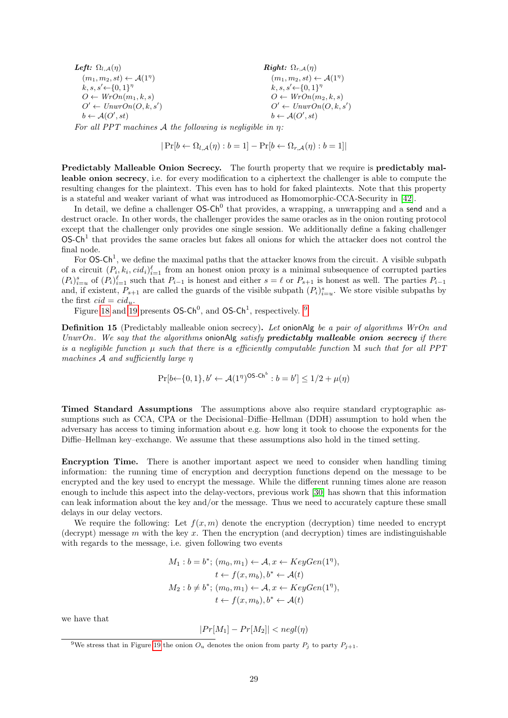| Left: $\Omega_{l,A}(\eta)$                   | <b>Right:</b> $\Omega_{r,A}(\eta)$           |  |
|----------------------------------------------|----------------------------------------------|--|
| $(m_1, m_2, st) \leftarrow \mathcal{A}(1^n)$ | $(m_1, m_2, st) \leftarrow \mathcal{A}(1^n)$ |  |
| $k, s, s' \leftarrow \{0, 1\}^{\eta}$        | $k, s, s' \leftarrow \{0, 1\}^n$             |  |
| $O \leftarrow WrOn(m_1, k, s)$               | $O \leftarrow WrOn(m_2, k, s)$               |  |
| $O' \leftarrow UnwrOn(O, k, s')$             | $O' \leftarrow UnwrOn(O, k, s')$             |  |
| $b \leftarrow \mathcal{A}(O', st)$           | $b \leftarrow \mathcal{A}(O', st)$           |  |

For all PPT machines A the following is negligible in  $n$ :

$$
|\Pr[b \leftarrow \Omega_{l,A}(\eta) : b = 1] - \Pr[b \leftarrow \Omega_{r,A}(\eta) : b = 1]|
$$

Predictably Malleable Onion Secrecy. The fourth property that we require is predictably malleable onion secrecy, i.e. for every modification to a ciphertext the challenger is able to compute the resulting changes for the plaintext. This even has to hold for faked plaintexts. Note that this property is a stateful and weaker variant of what was introduced as Homomorphic-CCA-Security in [\[42\]](#page-37-10).

In detail, we define a challenger  $OS-Ch^0$  that provides, a wrapping, a unwrapping and a send and a destruct oracle. In other words, the challenger provides the same oracles as in the onion routing protocol except that the challenger only provides one single session. We additionally define a faking challenger  $OS-Ch<sup>1</sup>$  that provides the same oracles but fakes all onions for which the attacker does not control the final node.

For  $OS-Ch^1$ , we define the maximal paths that the attacker knows from the circuit. A visible subpath of a circuit  $(P_i, k_i, cid_i)_{i=1}^{\ell}$  from an honest onion proxy is a minimal subsequence of corrupted parties  $(P_i)_{i=u}^s$  of  $(P_i)_{i=1}^\ell$  such that  $P_{i-1}$  is honest and either  $s = \ell$  or  $P_{s+1}$  is honest as well. The parties  $P_{i-1}$ and, if existent,  $P_{s+1}$  are called the guards of the visible subpath  $(P_i)_{i=u}^s$ . We store visible subpaths by the first  $cid = cid_u$ .

Figure [18](#page-26-0) and [19](#page-27-0) presents  $OS-Ch^0$ , and  $OS-Ch^1$ , respectively. <sup>[9](#page-28-0)</sup>

Definition 15 (Predictably malleable onion secrecy). Let onionAlg be a pair of algorithms WrOn and UnwrOn. We say that the algorithms onionAlg satisfy  $predictably$  malleable onion secrecy if there is a negligible function  $\mu$  such that there is a efficiently computable function M such that for all PPT machines A and sufficiently large η

$$
\Pr[b \leftarrow \{0, 1\}, b' \leftarrow \mathcal{A}(1^{\eta})^{\text{OS-Ch}^b} : b = b'] \le 1/2 + \mu(\eta)
$$

Timed Standard Assumptions The assumptions above also require standard cryptographic assumptions such as CCA, CPA or the Decisional–Diffie–Hellman (DDH) assumption to hold when the adversary has access to timing information about e.g. how long it took to choose the exponents for the Diffie–Hellman key–exchange. We assume that these assumptions also hold in the timed setting.

Encryption Time. There is another important aspect we need to consider when handling timing information: the running time of encryption and decryption functions depend on the message to be encrypted and the key used to encrypt the message. While the different running times alone are reason enough to include this aspect into the delay-vectors, previous work [\[30\]](#page-36-18) has shown that this information can leak information about the key and/or the message. Thus we need to accurately capture these small delays in our delay vectors.

We require the following: Let  $f(x, m)$  denote the encryption (decryption) time needed to encrypt (decrypt) message  $m$  with the key  $x$ . Then the encryption (and decryption) times are indistinguishable with regards to the message, i.e. given following two events

$$
M_1: b = b^*; (m_0, m_1) \leftarrow A, x \leftarrow KeyGen(1^{\eta}),
$$
  
\n
$$
t \leftarrow f(x, m_b), b^* \leftarrow A(t)
$$
  
\n
$$
M_2: b \neq b^*; (m_0, m_1) \leftarrow A, x \leftarrow KeyGen(1^{\eta}),
$$
  
\n
$$
t \leftarrow f(x, m_b), b^* \leftarrow A(t)
$$

we have that

$$
|Pr[M_1] - Pr[M_2]| < negl(\eta)
$$

<span id="page-28-0"></span><sup>&</sup>lt;sup>9</sup>We stress that in Figure [19](#page-27-0) the onion  $O_u$  denotes the onion from party  $P_i$  to party  $P_{i+1}$ .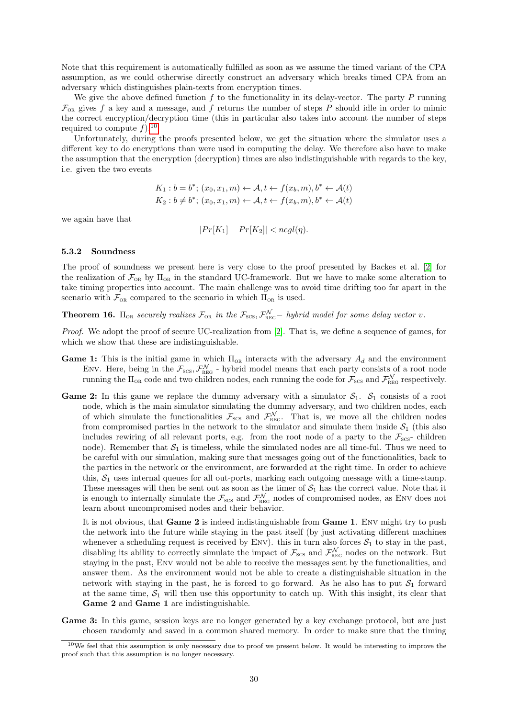Note that this requirement is automatically fulfilled as soon as we assume the timed variant of the CPA assumption, as we could otherwise directly construct an adversary which breaks timed CPA from an adversary which distinguishes plain-texts from encryption times.

We give the above defined function  $f$  to the functionality in its delay-vector. The party  $P$  running  $\mathcal{F}_{\text{OR}}$  gives f a key and a message, and f returns the number of steps P should idle in order to mimic the correct encryption/decryption time (this in particular also takes into account the number of steps required to compute  $f$ ).<sup>[10](#page-29-2)</sup>

Unfortunately, during the proofs presented below, we get the situation where the simulator uses a different key to do encryptions than were used in computing the delay. We therefore also have to make the assumption that the encryption (decryption) times are also indistinguishable with regards to the key, i.e. given the two events

$$
K_1: b = b^*; (x_0, x_1, m) \leftarrow A, t \leftarrow f(x_b, m), b^* \leftarrow A(t)
$$
  

$$
K_2: b \neq b^*; (x_0, x_1, m) \leftarrow A, t \leftarrow f(x_b, m), b^* \leftarrow A(t)
$$

we again have that

 $|Pr[K_1] - Pr[K_2]| < \text{neq}(n).$ 

#### <span id="page-29-0"></span>5.3.2 Soundness

The proof of soundness we present here is very close to the proof presented by Backes et al. [\[2\]](#page-35-3) for the realization of  $\mathcal{F}_{OR}$  by  $\Pi_{OR}$  in the standard UC-framework. But we have to make some alteration to take timing properties into account. The main challenge was to avoid time drifting too far apart in the scenario with  $\mathcal{F}_{OR}$  compared to the scenario in which  $\Pi_{OR}$  is used.

<span id="page-29-1"></span>**Theorem 16.**  $\Pi_{OR}$  securely realizes  $\mathcal{F}_{OR}$  in the  $\mathcal{F}_{SCS}$ ,  $\mathcal{F}_{REG}^{N}$  – hybrid model for some delay vector v.

Proof. We adopt the proof of secure UC-realization from [\[2\]](#page-35-3). That is, we define a sequence of games, for which we show that these are indistinguishable.

- Game 1: This is the initial game in which  $\Pi_{OR}$  interacts with the adversary  $A_d$  and the environment ENV. Here, being in the  $\mathcal{F}_{\text{SCS}}$ ,  $\mathcal{F}_{\text{REG}}^{\mathcal{N}}$  - hybrid model means that each party consists of a root node running the  $\Pi_{OR}$  code and two children nodes, each running the code for  $\mathcal{F}_{SCS}$  and  $\mathcal{F}_{REG}^N$  respectively.
- **Game 2:** In this game we replace the dummy adversary with a simulator  $S_1$ .  $S_1$  consists of a root node, which is the main simulator simulating the dummy adversary, and two children nodes, each of which simulate the functionalities  $\mathcal{F}_{\text{SCS}}$  and  $\mathcal{F}_{\text{REG}}^N$ . That is, we move all the children nodes from compromised parties in the network to the simulator and simulate them inside  $S_1$  (this also includes rewiring of all relevant ports, e.g. from the root node of a party to the  $\mathcal{F}_{\text{scs}}$ - children node). Remember that  $S_1$  is timeless, while the simulated nodes are all time-ful. Thus we need to be careful with our simulation, making sure that messages going out of the functionalities, back to the parties in the network or the environment, are forwarded at the right time. In order to achieve this,  $S_1$  uses internal queues for all out-ports, marking each outgoing message with a time-stamp. These messages will then be sent out as soon as the timer of  $S_1$  has the correct value. Note that it is enough to internally simulate the  $\mathcal{F}_{\text{\tiny SCS}}$  and  $\mathcal{F}_{\text{\tiny REG}}^{\mathcal{N}}$  nodes of compromised nodes, as ENV does not learn about uncompromised nodes and their behavior.

It is not obvious, that Game 2 is indeed indistinguishable from Game 1. Env might try to push the network into the future while staying in the past itself (by just activating different machines whenever a scheduling request is received by ENV). this in turn also forces  $S_1$  to stay in the past, disabling its ability to correctly simulate the impact of  $\mathcal{F}_{\text{SCs}}$  and  $\mathcal{F}_{\text{REG}}^{N}$  nodes on the network. But staying in the past, Env would not be able to receive the messages sent by the functionalities, and answer them. As the environment would not be able to create a distinguishable situation in the network with staying in the past, he is forced to go forward. As he also has to put  $S_1$  forward at the same time,  $S_1$  will then use this opportunity to catch up. With this insight, its clear that Game 2 and Game 1 are indistinguishable.

Game 3: In this game, session keys are no longer generated by a key exchange protocol, but are just chosen randomly and saved in a common shared memory. In order to make sure that the timing

<span id="page-29-2"></span> $10$ We feel that this assumption is only necessary due to proof we present below. It would be interesting to improve the proof such that this assumption is no longer necessary.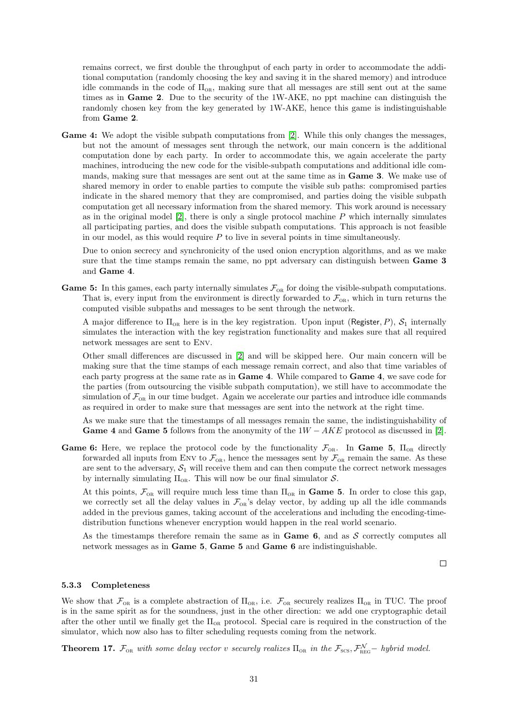remains correct, we first double the throughput of each party in order to accommodate the additional computation (randomly choosing the key and saving it in the shared memory) and introduce idle commands in the code of  $\Pi_{OR}$ , making sure that all messages are still sent out at the same times as in Game 2. Due to the security of the 1W-AKE, no ppt machine can distinguish the randomly chosen key from the key generated by 1W-AKE, hence this game is indistinguishable from Game 2.

Game 4: We adopt the visible subpath computations from [\[2\]](#page-35-3). While this only changes the messages, but not the amount of messages sent through the network, our main concern is the additional computation done by each party. In order to accommodate this, we again accelerate the party machines, introducing the new code for the visible-subpath computations and additional idle commands, making sure that messages are sent out at the same time as in Game 3. We make use of shared memory in order to enable parties to compute the visible sub paths: compromised parties indicate in the shared memory that they are compromised, and parties doing the visible subpath computation get all necessary information from the shared memory. This work around is necessary as in the original model  $[2]$ , there is only a single protocol machine P which internally simulates all participating parties, and does the visible subpath computations. This approach is not feasible in our model, as this would require  $P$  to live in several points in time simultaneously.

Due to onion secrecy and synchronicity of the used onion encryption algorithms, and as we make sure that the time stamps remain the same, no ppt adversary can distinguish between **Game 3** and Game 4.

**Game 5:** In this games, each party internally simulates  $\mathcal{F}_{OR}$  for doing the visible-subpath computations. That is, every input from the environment is directly forwarded to  $\mathcal{F}_{OR}$ , which in turn returns the computed visible subpaths and messages to be sent through the network.

A major difference to  $\Pi_{OR}$  here is in the key registration. Upon input (Register, P),  $S_1$  internally simulates the interaction with the key registration functionality and makes sure that all required network messages are sent to Env.

Other small differences are discussed in [\[2\]](#page-35-3) and will be skipped here. Our main concern will be making sure that the time stamps of each message remain correct, and also that time variables of each party progress at the same rate as in Game 4. While compared to Game 4, we save code for the parties (from outsourcing the visible subpath computation), we still have to accommodate the simulation of  $\mathcal{F}_{\text{OR}}$  in our time budget. Again we accelerate our parties and introduce idle commands as required in order to make sure that messages are sent into the network at the right time.

As we make sure that the timestamps of all messages remain the same, the indistinguishability of Game 4 and Game 5 follows from the anonymity of the  $1W - AKE$  protocol as discussed in [\[2\]](#page-35-3).

Game 6: Here, we replace the protocol code by the functionality  $\mathcal{F}_{OR}$ . In Game 5,  $\Pi_{OR}$  directly forwarded all inputs from ENV to  $\mathcal{F}_{OR}$ , hence the messages sent by  $\mathcal{F}_{OR}$  remain the same. As these are sent to the adversary,  $S_1$  will receive them and can then compute the correct network messages by internally simulating  $\Pi_{OR}$ . This will now be our final simulator S.

At this points,  $\mathcal{F}_{OR}$  will require much less time than  $\Pi_{OR}$  in **Game 5.** In order to close this gap, we correctly set all the delay values in  $\mathcal{F}_{OR}$ 's delay vector, by adding up all the idle commands added in the previous games, taking account of the accelerations and including the encoding-timedistribution functions whenever encryption would happen in the real world scenario.

As the timestamps therefore remain the same as in Game  $6$ , and as S correctly computes all network messages as in Game 5, Game 5 and Game 6 are indistinguishable.

 $\Box$ 

### <span id="page-30-0"></span>5.3.3 Completeness

We show that  $\mathcal{F}_{OR}$  is a complete abstraction of  $\Pi_{OR}$ , i.e.  $\mathcal{F}_{OR}$  securely realizes  $\Pi_{OR}$  in TUC. The proof is in the same spirit as for the soundness, just in the other direction: we add one cryptographic detail after the other until we finally get the  $\Pi_{OR}$  protocol. Special care is required in the construction of the simulator, which now also has to filter scheduling requests coming from the network.

<span id="page-30-1"></span>**Theorem 17.**  $\mathcal{F}_{OR}$  with some delay vector v securely realizes  $\Pi_{OR}$  in the  $\mathcal{F}_{SCS}$ ,  $\mathcal{F}_{REG}^{N}$  – hybrid model.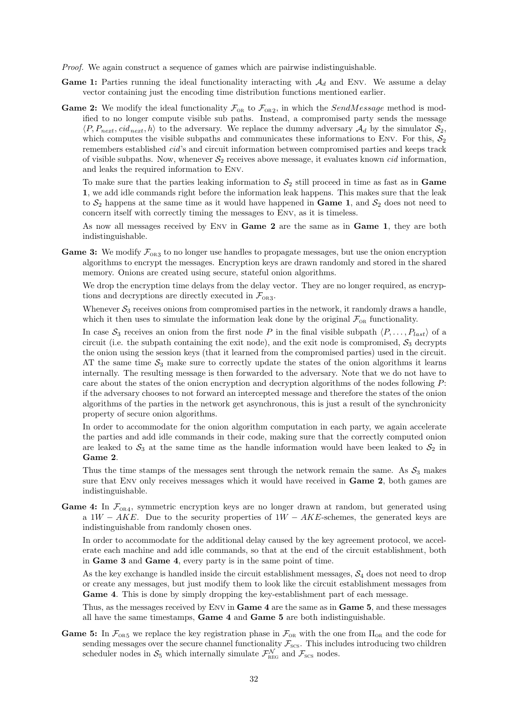- Proof. We again construct a sequence of games which are pairwise indistinguishable.
- **Game 1:** Parties running the ideal functionality interacting with  $\mathcal{A}_d$  and Env. We assume a delay vector containing just the encoding time distribution functions mentioned earlier.
- **Game 2:** We modify the ideal functionality  $\mathcal{F}_{OR}$  to  $\mathcal{F}_{OR2}$ , in which the *SendMessage* method is modified to no longer compute visible sub paths. Instead, a compromised party sends the message  $\langle P, P_{next}, cid_{next}, h \rangle$  to the adversary. We replace the dummy adversary  $\mathcal{A}_d$  by the simulator  $\mathcal{S}_2$ , which computes the visible subpaths and communicates these informations to Env. For this,  $S_2$ remembers established cid's and circuit information between compromised parties and keeps track of visible subpaths. Now, whenever  $\mathcal{S}_2$  receives above message, it evaluates known *cid* information, and leaks the required information to Env.

To make sure that the parties leaking information to  $S_2$  still proceed in time as fast as in **Game** 1, we add idle commands right before the information leak happens. This makes sure that the leak to  $S_2$  happens at the same time as it would have happened in **Game 1**, and  $S_2$  does not need to concern itself with correctly timing the messages to Env, as it is timeless.

As now all messages received by Env in Game 2 are the same as in Game 1, they are both indistinguishable.

**Game 3:** We modify  $\mathcal{F}_{OR3}$  to no longer use handles to propagate messages, but use the onion encryption algorithms to encrypt the messages. Encryption keys are drawn randomly and stored in the shared memory. Onions are created using secure, stateful onion algorithms.

We drop the encryption time delays from the delay vector. They are no longer required, as encryptions and decryptions are directly executed in  $\mathcal{F}_{OR3}$ .

Whenever  $S_3$  receives onions from compromised parties in the network, it randomly draws a handle, which it then uses to simulate the information leak done by the original  $\mathcal{F}_{OR}$  functionality.

In case  $S_3$  receives an onion from the first node P in the final visible subpath  $\langle P, \ldots, P_{last} \rangle$  of a circuit (i.e. the subpath containing the exit node), and the exit node is compromised,  $S_3$  decrypts the onion using the session keys (that it learned from the compromised parties) used in the circuit. AT the same time  $S_3$  make sure to correctly update the states of the onion algorithms it learns internally. The resulting message is then forwarded to the adversary. Note that we do not have to care about the states of the onion encryption and decryption algorithms of the nodes following P: if the adversary chooses to not forward an intercepted message and therefore the states of the onion algorithms of the parties in the network get asynchronous, this is just a result of the synchronicity property of secure onion algorithms.

In order to accommodate for the onion algorithm computation in each party, we again accelerate the parties and add idle commands in their code, making sure that the correctly computed onion are leaked to  $S_3$  at the same time as the handle information would have been leaked to  $S_2$  in Game 2.

Thus the time stamps of the messages sent through the network remain the same. As  $S_3$  makes sure that Env only receives messages which it would have received in Game 2, both games are indistinguishable.

**Game 4:** In  $\mathcal{F}_{OR4}$ , symmetric encryption keys are no longer drawn at random, but generated using a  $1W - AKE$ . Due to the security properties of  $1W - AKE$ -schemes, the generated keys are indistinguishable from randomly chosen ones.

In order to accommodate for the additional delay caused by the key agreement protocol, we accelerate each machine and add idle commands, so that at the end of the circuit establishment, both in Game 3 and Game 4, every party is in the same point of time.

As the key exchange is handled inside the circuit establishment messages,  $S_4$  does not need to drop or create any messages, but just modify them to look like the circuit establishment messages from Game 4. This is done by simply dropping the key-establishment part of each message.

Thus, as the messages received by Env in Game 4 are the same as in Game 5, and these messages all have the same timestamps, Game 4 and Game 5 are both indistinguishable.

Game 5: In  $\mathcal{F}_{OR5}$  we replace the key registration phase in  $\mathcal{F}_{OR}$  with the one from  $\Pi_{OR}$  and the code for sending messages over the secure channel functionality  $\mathcal{F}_{\text{SCS}}$ . This includes introducing two children scheduler nodes in  $S_5$  which internally simulate  $\mathcal{F}_{\text{REG}}^N$  and  $\mathcal{F}_{\text{SCS}}$  nodes.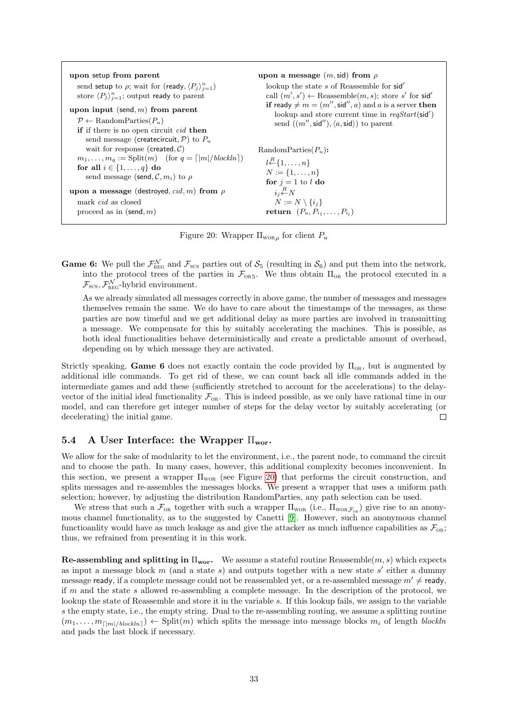<span id="page-32-1"></span>

| upon setup from parent<br>send setup to $\rho$ ; wait for (ready, $\langle P_i \rangle_{i=1}^n$ )<br>store $\langle P_i \rangle_{i=1}^n$ ; output ready to parent<br>upon input (send, $m$ ) from parent<br>$P \leftarrow \text{RandomParties}(P_u)$<br>if if there is no open circuit <i>cid</i> then<br>send message (createcircuit, $\mathcal{P}$ ) to $P_u$ | upon a message $(m, \text{sid})$ from $\rho$<br>lookup the state s of Reassemble for sid'<br>call $(m', s') \leftarrow$ Reassemble $(m, s)$ ; store s' for sid'<br>if ready $\neq m = (m'', \text{sid}'', a)$ and a is a server then<br>lookup and store current time in $reqStart(\text{sid}')$<br>send $((m'', \text{sid}''), \langle a, \text{sid} \rangle)$ to parent |
|-----------------------------------------------------------------------------------------------------------------------------------------------------------------------------------------------------------------------------------------------------------------------------------------------------------------------------------------------------------------|---------------------------------------------------------------------------------------------------------------------------------------------------------------------------------------------------------------------------------------------------------------------------------------------------------------------------------------------------------------------------|
| wait for response (created, $C$ )                                                                                                                                                                                                                                                                                                                               | Random Parties $(P_u)$ :                                                                                                                                                                                                                                                                                                                                                  |
| $m_1, \ldots, m_q := \text{Split}(m)$ (for $q = \lceil  m  / \text{block} \rceil$ )                                                                                                                                                                                                                                                                             | $l \stackrel{R}{\leftarrow} \{1, \ldots, n\}$                                                                                                                                                                                                                                                                                                                             |
| for all $i \in \{1, \ldots, q\}$ do                                                                                                                                                                                                                                                                                                                             | $N := \{1, \ldots, n\}$                                                                                                                                                                                                                                                                                                                                                   |
| send message (send, $\mathcal{C}, m_i$ ) to $\rho$                                                                                                                                                                                                                                                                                                              | for $j = 1$ to l do                                                                                                                                                                                                                                                                                                                                                       |
| upon a message (destroyed, $cid$ , m) from $\rho$                                                                                                                                                                                                                                                                                                               | $i_i \stackrel{R}{\leftarrow} N$                                                                                                                                                                                                                                                                                                                                          |
| mark <i>cid</i> as closed                                                                                                                                                                                                                                                                                                                                       | $N := N \setminus \{i_j\}$                                                                                                                                                                                                                                                                                                                                                |
| proceed as in $(\text{send}, m)$                                                                                                                                                                                                                                                                                                                                | return $(P_u, P_{i_1}, \ldots, P_{i_l})$                                                                                                                                                                                                                                                                                                                                  |

Figure 20: Wrapper  $\Pi_{\text{WOR}_{\rho}}$  for client  $P_u$ 

**Game 6:** We pull the  $\mathcal{F}_{\text{REG}}^N$  and  $\mathcal{F}_{\text{SCS}}$  parties out of  $\mathcal{S}_5$  (resulting in  $\mathcal{S}_6$ ) and put them into the network, into the protocol trees of the parties in  $\mathcal{F}_{OR5}$ . We thus obtain  $\Pi_{OR}$  the protocol executed in a  $\mathcal{F}_{\textsc{scs}}$ ,  $\mathcal{F}_{\textsc{reg}}^{\mathcal{N}}$ -hybrid environment.

As we already simulated all messages correctly in above game, the number of messages and messages themselves remain the same. We do have to care about the timestamps of the messages, as these parties are now timeful and we get additional delay as more parties are involved in transmitting a message. We compensate for this by suitably accelerating the machines. This is possible, as both ideal functionalities behave deterministically and create a predictable amount of overhead, depending on by which message they are activated.

Strictly speaking, Game 6 does not exactly contain the code provided by  $\Pi_{OR}$ , but is augmented by additional idle commands. To get rid of these, we can count back all idle commands added in the intermediate games and add these (sufficiently stretched to account for the accelerations) to the delayvector of the initial ideal functionality  $\mathcal{F}_{OR}$ . This is indeed possible, as we only have rational time in our model, and can therefore get integer number of steps for the delay vector by suitably accelerating (or decelerating) the initial game.  $\Box$ 

### <span id="page-32-0"></span>5.4 A User Interface: the Wrapper  $\Pi_{\text{wor}}$ .

We allow for the sake of modularity to let the environment, i.e., the parent node, to command the circuit and to choose the path. In many cases, however, this additional complexity becomes inconvenient. In this section, we present a wrapper  $\Pi_{\text{wo}}$  (see Figure [20\)](#page-32-1) that performs the circuit construction, and splits messages and re-assembles the messages blocks. We present a wrapper that uses a uniform path selection; however, by adjusting the distribution RandomParties, any path selection can be used.

We stress that such a  $\mathcal{F}_{OR}$  together with such a wrapper  $\Pi_{WOR}$  (i.e.,  $\Pi_{WOR}\mathcal{F}_{OR}$ ) give rise to an anonymous channel functionality, as to the suggested by Canetti [\[9\]](#page-35-6). However, such an anonymous channel functioanlity would have as much leakage as and give the attacker as much influence capabilities as  $\mathcal{F}_{OR}$ ; thus, we refrained from presenting it in this work.

**Re-assembling and splitting in**  $\Pi_{\text{wor}}$ **.** We assume a stateful routine Reassemble $(m, s)$  which expects as input a message block  $m$  (and a state  $s$ ) and outputs together with a new state  $s'$  either a dummy message ready, if a complete message could not be reassembled yet, or a re-assembled message  $m' \neq$  ready, if  $m$  and the state  $s$  allowed re-assembling a complete message. In the description of the protocol, we lookup the state of Reassemble and store it in the variable s. If this lookup fails, we assign to the variable s the empty state, i.e., the empty string. Dual to the re-assembling routing, we assume a splitting routine  $(m_1, \ldots, m_{\lfloor m \rfloor / blockln)} ) \leftarrow \text{Split}(m)$  which splits the message into message blocks  $m_i$  of length blockln and pads the last block if necessary.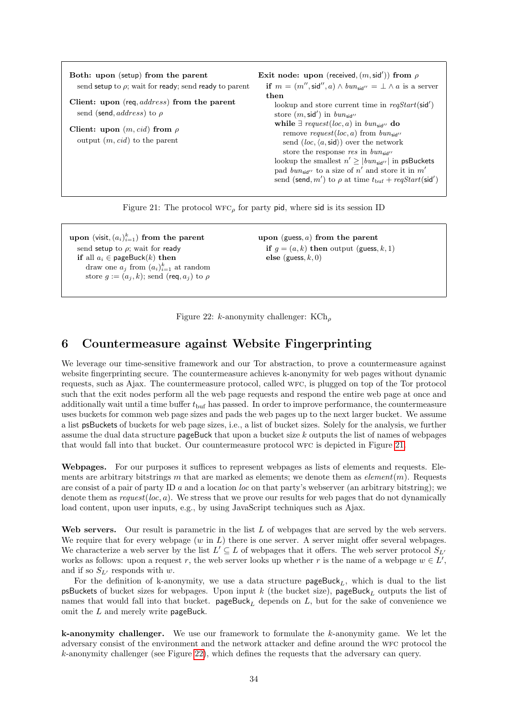<span id="page-33-1"></span>

| Both: upon (setup) from the parent<br>send setup to $\rho$ ; wait for ready; send ready to parent<br>Client: upon (req, <i>address</i> ) from the parent<br>send (send, <i>address</i> ) to $\rho$<br>Client: upon $(m, cid)$ from $\rho$<br>output $(m, cid)$ to the parent | Exit node: upon (received, $(m, \text{sid}'))$ from $\rho$<br>if $m = (m'', \text{sid}'', a) \wedge bm_{\text{sid}''} = \perp \wedge a$ is a server<br>then<br>lookup and store current time in $reqStart(\text{sid}')$<br>store $(m, \text{sid}')$ in $bun_{\text{sid}''}$<br>while $\exists$ request (loc, a) in bun <sub>sid</sub> " do<br>remove request (loc, a) from $bun_{sid}$<br>send $(loc, \langle a, \text{sid} \rangle)$ over the network<br>store the response res in $bun_{sid}$<br>lookup the smallest $n' \ge  bun_{\text{sid}''} $ in psBuckets<br>pad bun <sub>sid</sub> " to a size of n' and store it in m'<br>send (send, m') to $\rho$ at time $t_{\text{buf}} + \text{regStart}(\text{sid}')$ |
|------------------------------------------------------------------------------------------------------------------------------------------------------------------------------------------------------------------------------------------------------------------------------|-----------------------------------------------------------------------------------------------------------------------------------------------------------------------------------------------------------------------------------------------------------------------------------------------------------------------------------------------------------------------------------------------------------------------------------------------------------------------------------------------------------------------------------------------------------------------------------------------------------------------------------------------------------------------------------------------------------------------|
|                                                                                                                                                                                                                                                                              |                                                                                                                                                                                                                                                                                                                                                                                                                                                                                                                                                                                                                                                                                                                       |

Figure 21: The protocol  $WFC_{\rho}$  for party pid, where sid is its session ID

<span id="page-33-2"></span>upon (visit,  $(a_i)_{i=1}^k$ ) from the parent send setup to  $\rho$ ; wait for ready if all  $a_i \in \text{pageBuck}(k)$  then draw one  $a_j$  from  $(a_i)_{i=1}^k$  at random store  $g := (a_i, k)$ ; send (req,  $a_i$ ) to  $\rho$  upon (guess,  $a$ ) from the parent if  $g = (a, k)$  then output (guess, k, 1) else (guess,  $k, 0$ )

Figure 22: k-anonymity challenger:  $KCh_{\rho}$ 

# <span id="page-33-0"></span>6 Countermeasure against Website Fingerprinting

We leverage our time-sensitive framework and our Tor abstraction, to prove a countermeasure against website fingerprinting secure. The countermeasure achieves k-anonymity for web pages without dynamic requests, such as Ajax. The countermeasure protocol, called wfc, is plugged on top of the Tor protocol such that the exit nodes perform all the web page requests and respond the entire web page at once and additionally wait until a time buffer  $t_{\text{buf}}$  has passed. In order to improve performance, the countermeasure uses buckets for common web page sizes and pads the web pages up to the next larger bucket. We assume a list psBuckets of buckets for web page sizes, i.e., a list of bucket sizes. Solely for the analysis, we further assume the dual data structure pageBuck that upon a bucket size k outputs the list of names of webpages that would fall into that bucket. Our countermeasure protocol WFC is depicted in Figure [21.](#page-33-1)

Webpages. For our purposes it suffices to represent webpages as lists of elements and requests. Elements are arbitrary bitstrings m that are marked as elements; we denote them as  $element(m)$ . Requests are consist of a pair of party ID  $a$  and a location loc on that party's webserver (an arbitrary bitstring); we denote them as  $request(loc, a)$ . We stress that we prove our results for web pages that do not dynamically load content, upon user inputs, e.g., by using JavaScript techniques such as Ajax.

Web servers. Our result is parametric in the list  $L$  of webpages that are served by the web servers. We require that for every webpage  $(w \text{ in } L)$  there is one server. A server might offer several webpages. We characterize a web server by the list  $L' \subseteq L$  of webpages that it offers. The web server protocol  $S_L$ works as follows: upon a request r, the web server looks up whether r is the name of a webpage  $w \in L'$ , and if so  $S_{L'}$  responds with w.

For the definition of k-anonymity, we use a data structure pageBuck<sub>L</sub>, which is dual to the list psBuckets of bucket sizes for webpages. Upon input  $k$  (the bucket size), pageBuck<sub>L</sub> outputs the list of names that would fall into that bucket.  $pagetext{pageBuck}_{L}$  depends on L, but for the sake of convenience we omit the L and merely write pageBuck.

**k-anonymity challenger.** We use our framework to formulate the  $k$ -anonymity game. We let the adversary consist of the environment and the network attacker and define around the WFC protocol the k-anonymity challenger (see Figure [22\)](#page-33-2), which defines the requests that the adversary can query.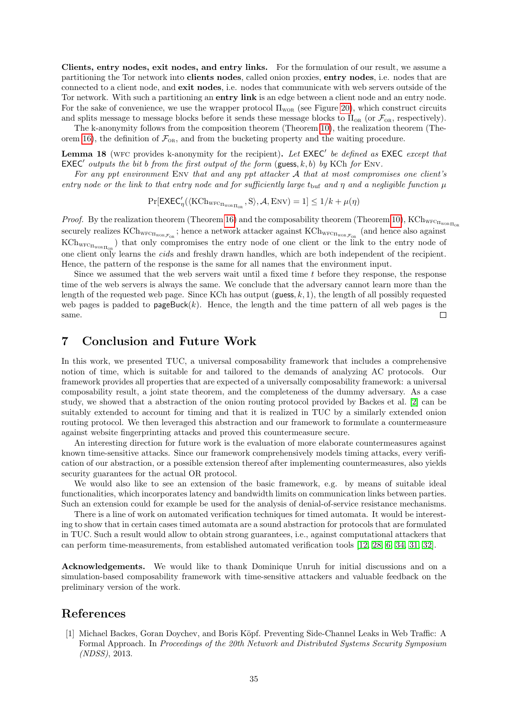Clients, entry nodes, exit nodes, and entry links. For the formulation of our result, we assume a partitioning the Tor network into clients nodes, called onion proxies, entry nodes, i.e. nodes that are connected to a client node, and exit nodes, i.e. nodes that communicate with web servers outside of the Tor network. With such a partitioning an entry link is an edge between a client node and an entry node. For the sake of convenience, we use the wrapper protocol  $\Pi_{\text{wo}}$  (see Figure [20\)](#page-32-1), which construct circuits and splits message to message blocks before it sends these message blocks to  $\Pi_{OR}$  (or  $\mathcal{F}_{OR}$ , respectively).

The k-anonymity follows from the composition theorem (Theorem [10\)](#page-16-1), the realization theorem (The-orem [16\)](#page-29-1), the definition of  $\mathcal{F}_{OR}$ , and from the bucketing property and the waiting procedure.

**Lemma 18** (WFC provides k-anonymity for the recipient). Let  $EXEC'$  be defined as  $EXEC$  except that  $\mathsf{EXEC}'$  outputs the bit b from the first output of the form (guess, k, b) by KCh for ENV.

For any ppt environment ENV that and any ppt attacker  $A$  that at most compromises one client's entry node or the link to that entry node and for sufficiently large t<sub>but</sub> and  $\eta$  and a negligible function  $\mu$ 

$$
\Pr[\mathsf{EXEC}_\eta'(\langle\mathsf{KCh}_{\mathsf{WFC}_{\Pi_{\mathsf{WOR}}}\Pi_{\mathsf{OR}}}, \mathsf{S}\rangle, \mathcal{A}, \mathsf{Env}) = 1] \leq 1/k + \mu(\eta)
$$

*Proof.* By the realization theorem (Theorem [16\)](#page-29-1) and the composability theorem (Theorem [10\)](#page-16-1), KCh<sub>wFCHwor</sub><sub>Hor</sub> securely realizes  $\rm{KCh}_{\rm{WFC}_{\Pi_{\rm{WOR}}_{\mathcal{F}_{OR}}}}$ ; hence a network attacker against  $\rm{KCh}_{\rm{WFC}_{\Pi_{\rm{WOR}}_{\mathcal{F}_{OR}}}}$  (and hence also against  $\rm{KCh}_{\rm WFC_{\rm IWOR\,II_{OR}}}\rm{)}$  that only compromises the entry node of one client or the link to the entry node of one client only learns the cids and freshly drawn handles, which are both independent of the recipient. Hence, the pattern of the response is the same for all names that the environment input.

Since we assumed that the web servers wait until a fixed time t before they response, the response time of the web servers is always the same. We conclude that the adversary cannot learn more than the length of the requested web page. Since KCh has output (guess,  $k, 1$ ), the length of all possibly requested web pages is padded to  $pagetext{Page}$ . Hence, the length and the time pattern of all web pages is the same.  $\Box$ 

### <span id="page-34-0"></span>7 Conclusion and Future Work

In this work, we presented TUC, a universal composability framework that includes a comprehensive notion of time, which is suitable for and tailored to the demands of analyzing AC protocols. Our framework provides all properties that are expected of a universally composability framework: a universal composability result, a joint state theorem, and the completeness of the dummy adversary. As a case study, we showed that a abstraction of the onion routing protocol provided by Backes et al. [\[2\]](#page-35-3) can be suitably extended to account for timing and that it is realized in TUC by a similarly extended onion routing protocol. We then leveraged this abstraction and our framework to formulate a countermeasure against website fingerprinting attacks and proved this countermeasure secure.

An interesting direction for future work is the evaluation of more elaborate countermeasures against known time-sensitive attacks. Since our framework comprehensively models timing attacks, every verification of our abstraction, or a possible extension thereof after implementing countermeasures, also yields security guarantees for the actual OR protocol.

We would also like to see an extension of the basic framework, e.g. by means of suitable ideal functionalities, which incorporates latency and bandwidth limits on communication links between parties. Such an extension could for example be used for the analysis of denial-of-service resistance mechanisms.

There is a line of work on automated verification techniques for timed automata. It would be interesting to show that in certain cases timed automata are a sound abstraction for protocols that are formulated in TUC. Such a result would allow to obtain strong guarantees, i.e., against computational attackers that can perform time-measurements, from established automated verification tools [\[12,](#page-35-11) [28,](#page-36-10) [6,](#page-35-12) [34,](#page-36-11) [31,](#page-36-12) [32\]](#page-36-13).

Acknowledgements. We would like to thank Dominique Unruh for initial discussions and on a simulation-based composability framework with time-sensitive attackers and valuable feedback on the preliminary version of the work.

### References

<span id="page-34-1"></span>[1] Michael Backes, Goran Doychev, and Boris Köpf. Preventing Side-Channel Leaks in Web Traffic: A Formal Approach. In Proceedings of the 20th Network and Distributed Systems Security Symposium (NDSS), 2013.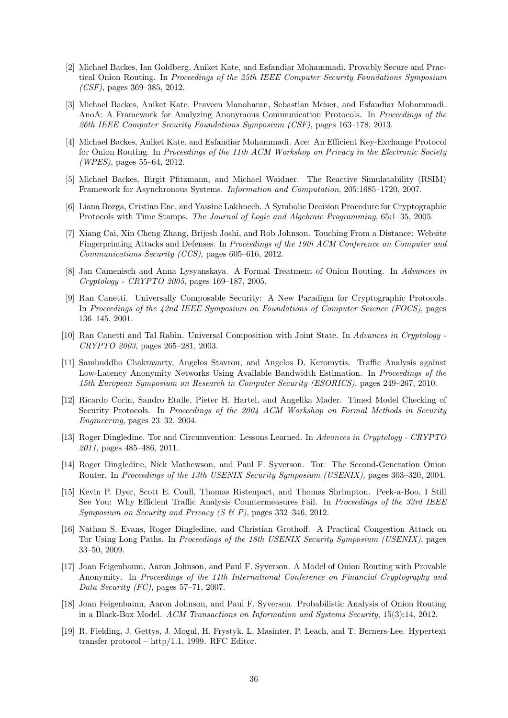- <span id="page-35-3"></span>[2] Michael Backes, Ian Goldberg, Aniket Kate, and Esfandiar Mohammadi. Provably Secure and Practical Onion Routing. In Proceedings of the 25th IEEE Computer Security Foundations Symposium (CSF), pages 369–385, 2012.
- <span id="page-35-14"></span>[3] Michael Backes, Aniket Kate, Praveen Manoharan, Sebastian Meiser, and Esfandiar Mohammadi. AnoA: A Framework for Analyzing Anonymous Communication Protocols. In Proceedings of the 26th IEEE Computer Security Foundations Symposium (CSF), pages 163–178, 2013.
- <span id="page-35-16"></span>[4] Michael Backes, Aniket Kate, and Esfandiar Mohammadi. Ace: An Efficient Key-Exchange Protocol for Onion Routing. In Proceedings of the 11th ACM Workshop on Privacy in the Electronic Society (WPES), pages 55–64, 2012.
- <span id="page-35-10"></span>[5] Michael Backes, Birgit Pfitzmann, and Michael Waidner. The Reactive Simulatability (RSIM) Framework for Asynchronous Systems. Information and Computation, 205:1685–1720, 2007.
- <span id="page-35-12"></span>[6] Liana Bozga, Cristian Ene, and Yassine Lakhnech. A Symbolic Decision Procedure for Cryptographic Protocols with Time Stamps. The Journal of Logic and Algebraic Programming, 65:1–35, 2005.
- <span id="page-35-7"></span>[7] Xiang Cai, Xin Cheng Zhang, Brijesh Joshi, and Rob Johnson. Touching From a Distance: Website Fingerprinting Attacks and Defenses. In Proceedings of the 19th ACM Conference on Computer and Communications Security (CCS), pages 605–616, 2012.
- <span id="page-35-1"></span>[8] Jan Camenisch and Anna Lysyanskaya. A Formal Treatment of Onion Routing. In Advances in Cryptology - CRYPTO 2005, pages 169–187, 2005.
- <span id="page-35-6"></span>[9] Ran Canetti. Universally Composable Security: A New Paradigm for Cryptographic Protocols. In Proceedings of the 42nd IEEE Symposium on Foundations of Computer Science (FOCS), pages 136–145, 2001.
- <span id="page-35-9"></span>[10] Ran Canetti and Tal Rabin. Universal Composition with Joint State. In Advances in Cryptology - CRYPTO 2003, pages 265–281, 2003.
- <span id="page-35-4"></span>[11] Sambuddho Chakravarty, Angelos Stavrou, and Angelos D. Keromytis. Traffic Analysis against Low-Latency Anonymity Networks Using Available Bandwidth Estimation. In Proceedings of the 15th European Symposium on Research in Computer Security (ESORICS), pages 249–267, 2010.
- <span id="page-35-11"></span>[12] Ricardo Corin, Sandro Etalle, Pieter H. Hartel, and Angelika Mader. Timed Model Checking of Security Protocols. In Proceedings of the 2004 ACM Workshop on Formal Methods in Security Engineering, pages 23–32, 2004.
- <span id="page-35-0"></span>[13] Roger Dingledine. Tor and Circumvention: Lessons Learned. In Advances in Cryptology - CRYPTO 2011, pages 485–486, 2011.
- <span id="page-35-17"></span>[14] Roger Dingledine, Nick Mathewson, and Paul F. Syverson. Tor: The Second-Generation Onion Router. In Proceedings of the 13th USENIX Security Symposium (USENIX), pages 303-320, 2004.
- <span id="page-35-15"></span>[15] Kevin P. Dyer, Scott E. Coull, Thomas Ristenpart, and Thomas Shrimpton. Peek-a-Boo, I Still See You: Why Efficient Traffic Analysis Countermeasures Fail. In *Proceedings of the 33rd IEEE* Symposium on Security and Privacy  $(S \& P)$ , pages 332–346, 2012.
- <span id="page-35-5"></span>[16] Nathan S. Evans, Roger Dingledine, and Christian Grothoff. A Practical Congestion Attack on Tor Using Long Paths. In Proceedings of the 18th USENIX Security Symposium (USENIX), pages 33–50, 2009.
- <span id="page-35-13"></span>[17] Joan Feigenbaum, Aaron Johnson, and Paul F. Syverson. A Model of Onion Routing with Provable Anonymity. In Proceedings of the 11th International Conference on Financial Cryptography and Data Security (FC), pages 57–71, 2007.
- <span id="page-35-2"></span>[18] Joan Feigenbaum, Aaron Johnson, and Paul F. Syverson. Probabilistic Analysis of Onion Routing in a Black-Box Model. ACM Transactions on Information and Systems Security, 15(3):14, 2012.
- <span id="page-35-8"></span>[19] R. Fielding, J. Gettys, J. Mogul, H. Frystyk, L. Masinter, P. Leach, and T. Berners-Lee. Hypertext transfer protocol – http/1.1, 1999. RFC Editor.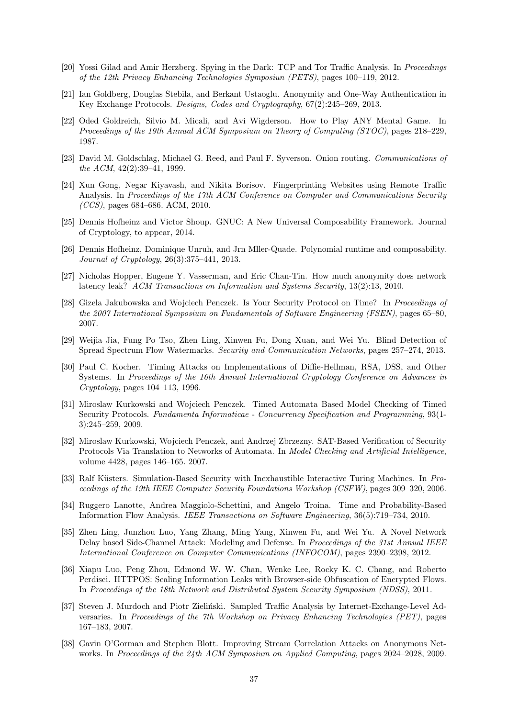- <span id="page-36-1"></span>[20] Yossi Gilad and Amir Herzberg. Spying in the Dark: TCP and Tor Traffic Analysis. In Proceedings of the 12th Privacy Enhancing Technologies Symposiun (PETS), pages 100–119, 2012.
- <span id="page-36-17"></span>[21] Ian Goldberg, Douglas Stebila, and Berkant Ustaoglu. Anonymity and One-Way Authentication in Key Exchange Protocols. Designs, Codes and Cryptography, 67(2):245–269, 2013.
- <span id="page-36-6"></span>[22] Oded Goldreich, Silvio M. Micali, and Avi Wigderson. How to Play ANY Mental Game. In Proceedings of the 19th Annual ACM Symposium on Theory of Computing (STOC), pages 218–229, 1987.
- <span id="page-36-14"></span>[23] David M. Goldschlag, Michael G. Reed, and Paul F. Syverson. Onion routing. Communications of the ACM, 42(2):39–41, 1999.
- <span id="page-36-8"></span>[24] Xun Gong, Negar Kiyavash, and Nikita Borisov. Fingerprinting Websites using Remote Traffic Analysis. In Proceedings of the 17th ACM Conference on Computer and Communications Security (CCS), pages 684–686. ACM, 2010.
- <span id="page-36-7"></span>[25] Dennis Hofheinz and Victor Shoup. GNUC: A New Universal Composability Framework. Journal of Cryptology, to appear, 2014.
- <span id="page-36-16"></span>[26] Dennis Hofheinz, Dominique Unruh, and Jrn Mller-Quade. Polynomial runtime and composability. Journal of Cryptology, 26(3):375–441, 2013.
- <span id="page-36-3"></span>[27] Nicholas Hopper, Eugene Y. Vasserman, and Eric Chan-Tin. How much anonymity does network latency leak? ACM Transactions on Information and Systems Security, 13(2):13, 2010.
- <span id="page-36-10"></span>[28] Gizela Jakubowska and Wojciech Penczek. Is Your Security Protocol on Time? In Proceedings of the 2007 International Symposium on Fundamentals of Software Engineering (FSEN), pages 65–80, 2007.
- <span id="page-36-4"></span>[29] Weijia Jia, Fung Po Tso, Zhen Ling, Xinwen Fu, Dong Xuan, and Wei Yu. Blind Detection of Spread Spectrum Flow Watermarks. Security and Communication Networks, pages 257–274, 2013.
- <span id="page-36-18"></span>[30] Paul C. Kocher. Timing Attacks on Implementations of Diffie-Hellman, RSA, DSS, and Other Systems. In Proceedings of the 16th Annual International Cryptology Conference on Advances in Cryptology, pages 104–113, 1996.
- <span id="page-36-12"></span>[31] Miroslaw Kurkowski and Wojciech Penczek. Timed Automata Based Model Checking of Timed Security Protocols. Fundamenta Informaticae - Concurrency Specification and Programming, 93(1- 3):245–259, 2009.
- <span id="page-36-13"></span>[32] Miroslaw Kurkowski, Wojciech Penczek, and Andrzej Zbrzezny. SAT-Based Verification of Security Protocols Via Translation to Networks of Automata. In Model Checking and Artificial Intelligence, volume 4428, pages 146–165. 2007.
- <span id="page-36-9"></span>[33] Ralf Küsters. Simulation-Based Security with Inexhaustible Interactive Turing Machines. In Proceedings of the 19th IEEE Computer Security Foundations Workshop (CSFW), pages 309–320, 2006.
- <span id="page-36-11"></span>[34] Ruggero Lanotte, Andrea Maggiolo-Schettini, and Angelo Troina. Time and Probability-Based Information Flow Analysis. IEEE Transactions on Software Engineering, 36(5):719–734, 2010.
- <span id="page-36-5"></span>[35] Zhen Ling, Junzhou Luo, Yang Zhang, Ming Yang, Xinwen Fu, and Wei Yu. A Novel Network Delay based Side-Channel Attack: Modeling and Defense. In Proceedings of the 31st Annual IEEE International Conference on Computer Communications (INFOCOM), pages 2390–2398, 2012.
- <span id="page-36-15"></span>[36] Xiapu Luo, Peng Zhou, Edmond W. W. Chan, Wenke Lee, Rocky K. C. Chang, and Roberto Perdisci. HTTPOS: Sealing Information Leaks with Browser-side Obfuscation of Encrypted Flows. In Proceedings of the 18th Network and Distributed System Security Symposium (NDSS), 2011.
- <span id="page-36-2"></span>[37] Steven J. Murdoch and Piotr Zieliński. Sampled Traffic Analysis by Internet-Exchange-Level Adversaries. In Proceedings of the 7th Workshop on Privacy Enhancing Technologies (PET), pages 167–183, 2007.
- <span id="page-36-0"></span>[38] Gavin O'Gorman and Stephen Blott. Improving Stream Correlation Attacks on Anonymous Networks. In Proceedings of the 24th ACM Symposium on Applied Computing, pages 2024–2028, 2009.